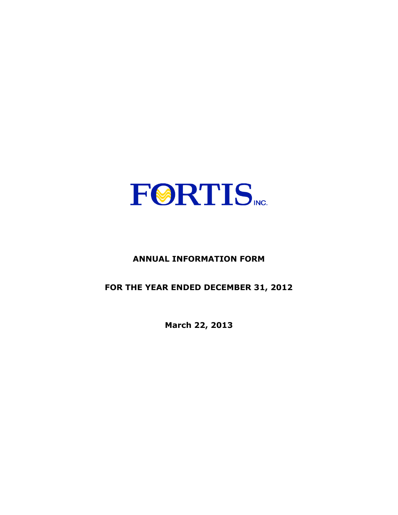

# **ANNUAL INFORMATION FORM**

**FOR THE YEAR ENDED DECEMBER 31, 2012**

**March 22, 2013**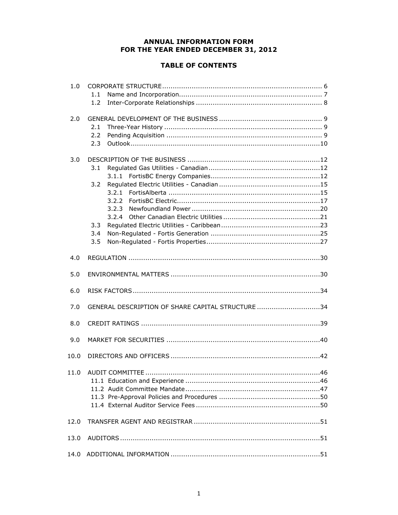## **ANNUAL INFORMATION FORM** FOR THE YEAR ENDED DECEMBER 31, 2012

## **TABLE OF CONTENTS**

| 1.0  | 1.1<br>1.2                                                                   |
|------|------------------------------------------------------------------------------|
| 2.0  | 2.1<br>2.2<br>2.3                                                            |
| 3.0  | 3.1<br>3.1.1<br>3.2<br>3.2.1<br>3.2.2<br>3.2.3<br>3.2.4<br>3.3<br>3.4<br>3.5 |
| 4.0  |                                                                              |
| 5.0  |                                                                              |
| 6.0  |                                                                              |
| 7.0  | GENERAL DESCRIPTION OF SHARE CAPITAL STRUCTURE 34                            |
| 8.0  |                                                                              |
| 9.0  |                                                                              |
| 10.0 |                                                                              |
|      | .46                                                                          |
| 12.0 |                                                                              |
| 13.0 |                                                                              |
| 14.0 |                                                                              |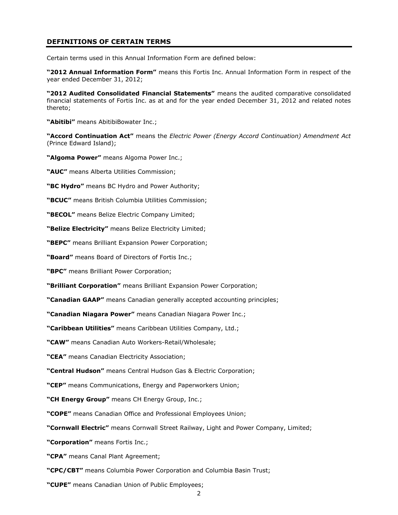## **DEFINITIONS OF CERTAIN TERMS**

Certain terms used in this Annual Information Form are defined below:

**"2012 Annual Information Form"** means this Fortis Inc. Annual Information Form in respect of the year ended December 31, 2012;

**"2012 Audited Consolidated Financial Statements"** means the audited comparative consolidated financial statements of Fortis Inc. as at and for the year ended December 31, 2012 and related notes thereto;

**"Abitibi"** means AbitibiBowater Inc.;

**"Accord Continuation Act"** means the *Electric Power (Energy Accord Continuation) Amendment Act* (Prince Edward Island);

**"Algoma Power"** means Algoma Power Inc.;

**"AUC"** means Alberta Utilities Commission;

**"BC Hydro"** means BC Hydro and Power Authority;

**"BCUC"** means British Columbia Utilities Commission;

**"BECOL"** means Belize Electric Company Limited;

**"Belize Electricity"** means Belize Electricity Limited;

**"BEPC"** means Brilliant Expansion Power Corporation;

**"Board"** means Board of Directors of Fortis Inc.;

**"BPC"** means Brilliant Power Corporation;

**"Brilliant Corporation"** means Brilliant Expansion Power Corporation;

**"Canadian GAAP"** means Canadian generally accepted accounting principles;

**"Canadian Niagara Power"** means Canadian Niagara Power Inc.;

**"Caribbean Utilities"** means Caribbean Utilities Company, Ltd.;

**"CAW"** means Canadian Auto Workers-Retail/Wholesale;

**"CEA"** means Canadian Electricity Association;

**"Central Hudson"** means Central Hudson Gas & Electric Corporation;

**"CEP"** means Communications, Energy and Paperworkers Union;

**"CH Energy Group"** means CH Energy Group, Inc.;

**"COPE"** means Canadian Office and Professional Employees Union;

**"Cornwall Electric"** means Cornwall Street Railway, Light and Power Company, Limited;

**"Corporation"** means Fortis Inc.;

**"CPA"** means Canal Plant Agreement;

**"CPC/CBT"** means Columbia Power Corporation and Columbia Basin Trust;

**"CUPE"** means Canadian Union of Public Employees;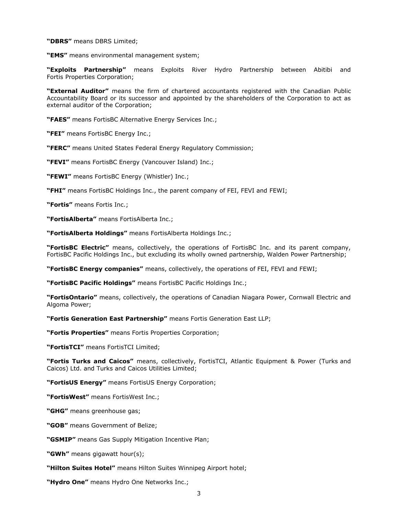**"DBRS"** means DBRS Limited;

**"EMS"** means environmental management system;

**"Exploits Partnership"** means Exploits River Hydro Partnership between Abitibi and Fortis Properties Corporation;

**"External Auditor"** means the firm of chartered accountants registered with the Canadian Public Accountability Board or its successor and appointed by the shareholders of the Corporation to act as external auditor of the Corporation;

**"FAES"** means FortisBC Alternative Energy Services Inc.;

**"FEI"** means FortisBC Energy Inc.;

**"FERC"** means United States Federal Energy Regulatory Commission;

**"FEVI"** means FortisBC Energy (Vancouver Island) Inc.;

**"FEWI"** means FortisBC Energy (Whistler) Inc.;

**"FHI"** means FortisBC Holdings Inc., the parent company of FEI, FEVI and FEWI;

**"Fortis"** means Fortis Inc.;

**"FortisAlberta"** means FortisAlberta Inc.;

**"FortisAlberta Holdings"** means FortisAlberta Holdings Inc.;

**"FortisBC Electric"** means, collectively, the operations of FortisBC Inc. and its parent company, FortisBC Pacific Holdings Inc., but excluding its wholly owned partnership, Walden Power Partnership;

**"FortisBC Energy companies"** means, collectively, the operations of FEI, FEVI and FEWI;

**"FortisBC Pacific Holdings"** means FortisBC Pacific Holdings Inc.;

**"FortisOntario"** means, collectively, the operations of Canadian Niagara Power, Cornwall Electric and Algoma Power;

**"Fortis Generation East Partnership"** means Fortis Generation East LLP;

**"Fortis Properties"** means Fortis Properties Corporation;

**"FortisTCI"** means FortisTCI Limited;

**"Fortis Turks and Caicos"** means, collectively, FortisTCI, Atlantic Equipment & Power (Turks and Caicos) Ltd. and Turks and Caicos Utilities Limited;

**"FortisUS Energy"** means FortisUS Energy Corporation;

**"FortisWest"** means FortisWest Inc.;

**"GHG"** means greenhouse gas;

**"GOB"** means Government of Belize;

**"GSMIP"** means Gas Supply Mitigation Incentive Plan;

**"GWh"** means gigawatt hour(s);

**"Hilton Suites Hotel"** means Hilton Suites Winnipeg Airport hotel;

**"Hydro One"** means Hydro One Networks Inc.;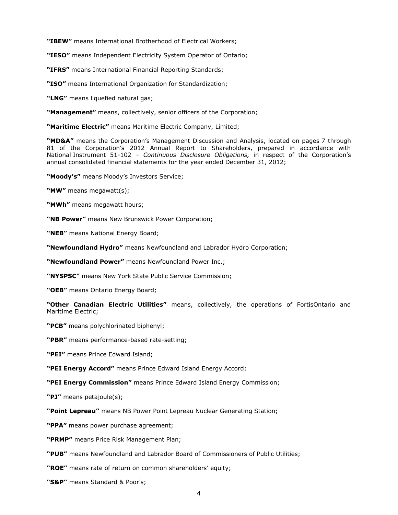**"IBEW"** means International Brotherhood of Electrical Workers;

**"IESO"** means Independent Electricity System Operator of Ontario;

**"IFRS"** means International Financial Reporting Standards;

**"ISO"** means International Organization for Standardization;

**"LNG"** means liquefied natural gas;

**"Management"** means, collectively, senior officers of the Corporation;

**"Maritime Electric"** means Maritime Electric Company, Limited;

**"MD&A"** means the Corporation's Management Discussion and Analysis, located on pages 7 through 81 of the Corporation's 2012 Annual Report to Shareholders, prepared in accordance with National Instrument 51-102 – *Continuous Disclosure Obligations,* in respect of the Corporation's annual consolidated financial statements for the year ended December 31, 2012;

**"Moody's"** means Moody's Investors Service;

**"MW"** means megawatt(s);

**"MWh"** means megawatt hours;

**"NB Power"** means New Brunswick Power Corporation;

**"NEB"** means National Energy Board;

**"Newfoundland Hydro"** means Newfoundland and Labrador Hydro Corporation;

**"Newfoundland Power"** means Newfoundland Power Inc.;

**"NYSPSC"** means New York State Public Service Commission;

**"OEB"** means Ontario Energy Board;

**"Other Canadian Electric Utilities"** means, collectively, the operations of FortisOntario and Maritime Electric;

**"PCB"** means polychlorinated biphenyl;

**"PBR"** means performance-based rate-setting;

**"PEI"** means Prince Edward Island;

**"PEI Energy Accord"** means Prince Edward Island Energy Accord;

**"PEI Energy Commission"** means Prince Edward Island Energy Commission;

**"PJ"** means petajoule(s);

**"Point Lepreau"** means NB Power Point Lepreau Nuclear Generating Station;

**"PPA"** means power purchase agreement;

**"PRMP"** means Price Risk Management Plan;

**"PUB"** means Newfoundland and Labrador Board of Commissioners of Public Utilities;

**"ROE"** means rate of return on common shareholders' equity;

**"S&P"** means Standard & Poor's;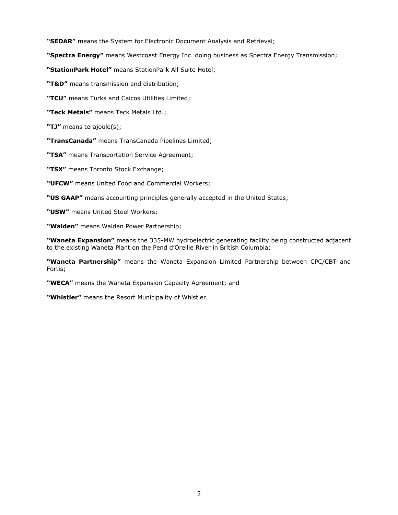**"SEDAR"** means the System for Electronic Document Analysis and Retrieval;

**"Spectra Energy"** means Westcoast Energy Inc. doing business as Spectra Energy Transmission;

**"StationPark Hotel"** means StationPark All Suite Hotel;

**"T&D"** means transmission and distribution;

**"TCU"** means Turks and Caicos Utilities Limited;

**"Teck Metals"** means Teck Metals Ltd.;

**"TJ"** means terajoule(s);

**"TransCanada"** means TransCanada Pipelines Limited;

**"TSA"** means Transportation Service Agreement;

**"TSX"** means Toronto Stock Exchange;

**"UFCW"** means United Food and Commercial Workers;

**"US GAAP"** means accounting principles generally accepted in the United States;

**"USW"** means United Steel Workers;

**"Walden"** means Walden Power Partnership;

**"Waneta Expansion"** means the 335-MW hydroelectric generating facility being constructed adjacent to the existing Waneta Plant on the Pend d'Oreille River in British Columbia;

**"Waneta Partnership"** means the Waneta Expansion Limited Partnership between CPC/CBT and Fortis;

**"WECA"** means the Waneta Expansion Capacity Agreement; and

**"Whistler"** means the Resort Municipality of Whistler.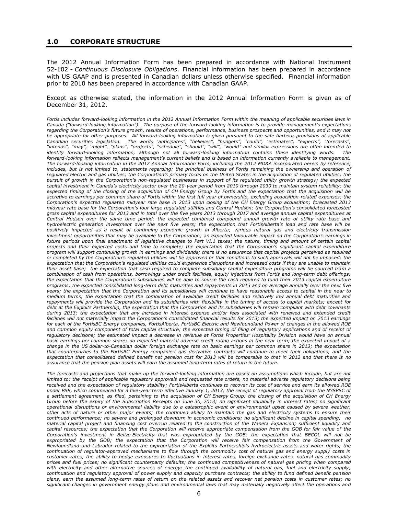## **1.0 CORPORATE STRUCTURE**

The 2012 Annual Information Form has been prepared in accordance with National Instrument 52-102 - *Continuous Disclosure Obligations*. Financial information has been prepared in accordance with US GAAP and is presented in Canadian dollars unless otherwise specified. Financial information prior to 2010 has been prepared in accordance with Canadian GAAP.

Except as otherwise stated, the information in the 2012 Annual Information Form is given as of December 31, 2012.

*Fortis includes forward-looking information in the 2012 Annual Information Form within the meaning of applicable securities laws in Canada ("forward-looking information"). The purpose of the forward-looking information is to provide management's expectations regarding the Corporation's future growth, results of operations, performance, business prospects and opportunities, and it may not be appropriate for other purposes. All forward-looking information is given pursuant to the safe harbour provisions of applicable Canadian securities legislation. The words "anticipates", "believes", "budgets", "could", "estimates", "expects", "forecasts", "intends", "may", "might", "plans", "projects", "schedule", "should", "will", "would" and similar expressions are often intended to identify forward-looking information, although not all forward-looking information contains these identifying words. The forward-looking information reflects management's current beliefs and is based on information currently available to management. The forward-looking information in the 2012 Annual Information Form, including the 2012 MD&A incorporated herein by reference, includes, but is not limited to, statements regarding: the principal business of Fortis remaining the ownership and operation of*  regulated electric and gas utilities; the Corporation's primary focus on the United States in the acquisition of regulated utilities; the *pursuit of growth in the Corporation's non-regulated businesses in support of its regulated utility growth strategy; the expected capital investment in Canada's electricity sector over the 20-year period from 2010 through 2030 to maintain system reliability; the expected timing of the closing of the acquisition of CH Energy Group by Fortis and the expectation that the acquisition will be accretive to earnings per common share of Fortis within the first full year of ownership, excluding acquisition-related expenses; the Corporation's expected regulated midyear rate base in 2013 upon closing of the CH Energy Group acquisition; forecasted 2013 midyear rate base for the Corporation's four large regulated utilities and Central Hudson; the Corporation's consolidated forecasted gross capital expenditures for 2013 and in total over the five years 2013 through 2017 and average annual capital expenditures at Central Hudson over the same time period; the expected combined compound annual growth rate of utility rate base and hydroelectric generation investment over the next five years; the expectation that FortisAlberta's load and rate base will be positively impacted as a result of continuing economic growth in Alberta; various natural gas and electricity transmission*  investment opportunities that may be available to the Corporation; an expected favourable impact on the Corporation's earnings in *future periods upon final enactment of legislative changes to Part VI.1 taxes; the nature, timing and amount of certain capital projects and their expected costs and time to complete; the expectation that the Corporation's significant capital expenditure program will support continuing growth in earnings and dividends; there is no assurance that capital projects perceived as required or completed by the Corporation's regulated utilities will be approved or that conditions to such approvals will not be imposed; the*  expectation that the Corporation's regulated utilities could experience disruptions and increased costs if they are unable to maintain *their asset base; the expectation that cash required to complete subsidiary capital expenditure programs will be sourced from a combination of cash from operations, borrowings under credit facilities, equity injections from Fortis and long-term debt offerings; the expectation that the Corporation's subsidiaries will be able to source the cash required to fund their 2013 capital expenditure programs; the expected consolidated long-term debt maturities and repayments in 2013 and on average annually over the next five years; the expectation that the Corporation and its subsidiaries will continue to have reasonable access to capital in the near to medium terms; the expectation that the combination of available credit facilities and relatively low annual debt maturities and repayments will provide the Corporation and its subsidiaries with flexibility in the timing of access to capital markets; except for debt at the Exploits Partnership, the expectation that the Corporation and its subsidiaries will remain compliant with debt covenants during 2013; the expectation that any increase in interest expense and/or fees associated with renewed and extended credit facilities will not materially impact the Corporation's consolidated financial results for 2013; the expected impact on 2013 earnings for each of the FortisBC Energy companies, FortisAlberta, FortisBC Electric and Newfoundland Power of changes in the allowed ROE*  and common equity component of total capital structure; the expected timing of filing of regulatory applications and of receipt of *regulatory decisions; the estimated impact a decrease in revenue at Fortis Properties' Hospitality Division would have on annual basic earnings per common share; no expected material adverse credit rating actions in the near term; the expected impact of a change in the US dollar-to-Canadian dollar foreign exchange rate on basic earnings per common share in 2013; the expectation that counterparties to the FortisBC Energy companies' gas derivative contracts will continue to meet their obligations; and the expectation that consolidated defined benefit net pension cost for 2013 will be comparable to that in 2012 and that there is no assurance that the pension plan assets will earn the assumed long-term rates of return in the future.* 

*The forecasts and projections that make up the forward-looking information are based on assumptions which include, but are not*  limited to: the receipt of applicable regulatory approvals and requested rate orders, no material adverse regulatory decisions being *received and the expectation of regulatory stability; FortisAlberta continues to recover its cost of service and earn its allowed ROE under PBR, which commenced for a five-year term effective January 1, 2013; the receipt of regulatory approval from the NYSPSC of a settlement agreement, as filed, pertaining to the acquisition of CH Energy Group; the closing of the acquisition of CH Energy Group before the expiry of the Subscription Receipts on June 30, 2013; no significant variability in interest rates; no significant operational disruptions or environmental liability due to a catastrophic event or environmental upset caused by severe weather, other acts of nature or other major events; the continued ability to maintain the gas and electricity systems to ensure their continued performance; no severe and prolonged downturn in economic conditions; no significant decline in capital spending; no material capital project and financing cost overrun related to the construction of the Waneta Expansion; sufficient liquidity and*  capital resources; the expectation that the Corporation will receive appropriate compensation from the GOB for fair value of the *Corporation's investment in Belize Electricity that was expropriated by the GOB; the expectation that BECOL will not be expropriated by the GOB; the expectation that the Corporation will receive fair compensation from the Government of Newfoundland and Labrador related to the expropriation of the Exploits Partnership's hydroelectric assets and water rights; the continuation of regulator-approved mechanisms to flow through the commodity cost of natural gas and energy supply costs in customer rates; the ability to hedge exposures to fluctuations in interest rates, foreign exchange rates, natural gas commodity prices and fuel prices; no significant counterparty defaults; the continued competitiveness of natural gas pricing when compared with electricity and other alternative sources of energy; the continued availability of natural gas, fuel and electricity supply; continuation and regulatory approval of power supply and capacity purchase contracts; the ability to fund defined benefit pension plans, earn the assumed long-term rates of return on the related assets and recover net pension costs in customer rates; no significant changes in government energy plans and environmental laws that may materially negatively affect the operations and*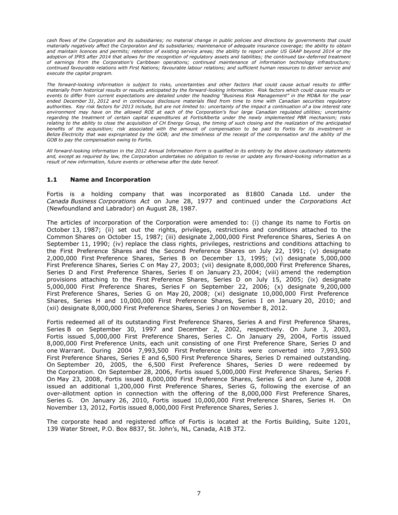*cash flows of the Corporation and its subsidiaries; no material change in public policies and directions by governments that could materially negatively affect the Corporation and its subsidiaries; maintenance of adequate insurance coverage; the ability to obtain*  and maintain licences and permits; retention of existing service areas; the ability to report under US GAAP beyond 2014 or the *adoption of IFRS after 2014 that allows for the recognition of regulatory assets and liabilities; the continued tax-deferred treatment of earnings from the Corporation's Caribbean operations; continued maintenance of information technology infrastructure; continued favourable relations with First Nations; favourable labour relations; and sufficient human resources to deliver service and execute the capital program.* 

*The forward-looking information is subject to risks, uncertainties and other factors that could cause actual results to differ materially from historical results or results anticipated by the forward-looking information. Risk factors which could cause results or events to differ from current expectations are detailed under the heading "Business Risk Management" in the MD&A for the year ended December 31, 2012 and in continuous disclosure materials filed from time to time with Canadian securities regulatory authorities. Key risk factors for 2013 include, but are not limited to: uncertainty of the impact a continuation of a low interest rate environment may have on the allowed ROE at each of the Corporation's four large Canadian regulated utilities; uncertainty regarding the treatment of certain capital expenditures at FortisAlberta under the newly implemented PBR mechanism; risks relating to the ability to close the acquisition of CH Energy Group, the timing of such closing and the realization of the anticipated benefits of the acquisition; risk associated with the amount of compensation to be paid to Fortis for its investment in Belize Electricity that was expropriated by the GOB; and the timeliness of the receipt of the compensation and the ability of the GOB to pay the compensation owing to Fortis.* 

*All forward-looking information in the 2012 Annual Information Form is qualified in its entirety by the above cautionary statements and, except as required by law, the Corporation undertakes no obligation to revise or update any forward-looking information as a result of new information, future events or otherwise after the date hereof.*

### **1.1 Name and Incorporation**

Fortis is a holding company that was incorporated as 81800 Canada Ltd. under the *Canada Business Corporations Act* on June 28, 1977 and continued under the *Corporations Act* (Newfoundland and Labrador) on August 28, 1987.

The articles of incorporation of the Corporation were amended to: (i) change its name to Fortis on October 13, 1987; (ii) set out the rights, privileges, restrictions and conditions attached to the Common Shares on October 15, 1987; (iii) designate 2,000,000 First Preference Shares, Series A on September 11, 1990; (iv) replace the class rights, privileges, restrictions and conditions attaching to the First Preference Shares and the Second Preference Shares on July 22, 1991; (v) designate 2,000,000 First Preference Shares, Series B on December 13, 1995; (vi) designate 5,000,000 First Preference Shares, Series C on May 27, 2003; (vii) designate 8,000,000 First Preference Shares, Series D and First Preference Shares, Series E on January 23, 2004; (viii) amend the redemption provisions attaching to the First Preference Shares, Series D on July 15, 2005; (ix) designate 5,000,000 First Preference Shares, Series F on September 22, 2006; (x) designate 9,200,000 First Preference Shares, Series G on May 20, 2008; (xi) designate 10,000,000 First Preference Shares, Series H and 10,000,000 First Preference Shares, Series I on January 20, 2010; and (xii) designate 8,000,000 First Preference Shares, Series J on November 8, 2012.

Fortis redeemed all of its outstanding First Preference Shares, Series A and First Preference Shares, Series B on September 30, 1997 and December 2, 2002, respectively. On June 3, 2003, Fortis issued 5,000,000 First Preference Shares, Series C. On January 29, 2004, Fortis issued 8,000,000 First Preference Units, each unit consisting of one First Preference Share, Series D and one Warrant. During 2004 7,993,500 First Preference Units were converted into 7,993,500 First Preference Shares, Series E and 6,500 First Preference Shares, Series D remained outstanding. On September 20, 2005, the 6,500 First Preference Shares, Series D were redeemed by the Corporation. On September 28, 2006, Fortis issued 5,000,000 First Preference Shares, Series F. On May 23, 2008, Fortis issued 8,000,000 First Preference Shares, Series G and on June 4, 2008 issued an additional 1,200,000 First Preference Shares, Series G, following the exercise of an over-allotment option in connection with the offering of the 8,000,000 First Preference Shares, Series G. On January 26, 2010, Fortis issued 10,000,000 First Preference Shares, Series H. On November 13, 2012, Fortis issued 8,000,000 First Preference Shares, Series J.

The corporate head and registered office of Fortis is located at the Fortis Building, Suite 1201, 139 Water Street, P.O. Box 8837, St. John's, NL, Canada, A1B 3T2.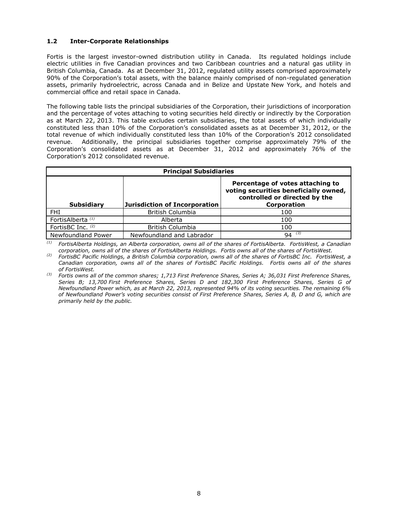## **1.2 Inter-Corporate Relationships**

Fortis is the largest investor-owned distribution utility in Canada. Its regulated holdings include electric utilities in five Canadian provinces and two Caribbean countries and a natural gas utility in British Columbia, Canada. As at December 31, 2012, regulated utility assets comprised approximately 90% of the Corporation's total assets, with the balance mainly comprised of non-regulated generation assets, primarily hydroelectric, across Canada and in Belize and Upstate New York, and hotels and commercial office and retail space in Canada.

The following table lists the principal subsidiaries of the Corporation, their jurisdictions of incorporation and the percentage of votes attaching to voting securities held directly or indirectly by the Corporation as at March 22, 2013. This table excludes certain subsidiaries, the total assets of which individually constituted less than 10% of the Corporation's consolidated assets as at December 31, 2012, or the total revenue of which individually constituted less than 10% of the Corporation's 2012 consolidated revenue. Additionally, the principal subsidiaries together comprise approximately 79% of the Corporation's consolidated assets as at December 31, 2012 and approximately 76% of the Corporation's 2012 consolidated revenue.

| <b>Principal Subsidiaries</b>                |                               |                                                                                                                           |  |  |  |  |
|----------------------------------------------|-------------------------------|---------------------------------------------------------------------------------------------------------------------------|--|--|--|--|
| <b>Subsidiary</b>                            | Jurisdiction of Incorporation | Percentage of votes attaching to<br>voting securities beneficially owned,<br>controlled or directed by the<br>Corporation |  |  |  |  |
| <b>FHI</b>                                   | <b>British Columbia</b>       | 100                                                                                                                       |  |  |  |  |
| FortisAlberta <sup>(1)</sup>                 | Alberta                       | 100                                                                                                                       |  |  |  |  |
| FortisBC Inc. (2)<br><b>British Columbia</b> |                               | 100                                                                                                                       |  |  |  |  |
| Newfoundland Power                           | Newfoundland and Labrador     | 94 $(3)$                                                                                                                  |  |  |  |  |

*(1) FortisAlberta Holdings, an Alberta corporation, owns all of the shares of FortisAlberta. FortisWest, a Canadian corporation, owns all of the shares of FortisAlberta Holdings. Fortis owns all of the shares of FortisWest.*

*(2) FortisBC Pacific Holdings, a British Columbia corporation, owns all of the shares of FortisBC Inc. FortisWest, a Canadian corporation, owns all of the shares of FortisBC Pacific Holdings. Fortis owns all of the shares of FortisWest.*

*<sup>(3)</sup> Fortis owns all of the common shares; 1,713 First Preference Shares, Series A; 36,031 First Preference Shares, Series B; 13,700 First Preference Shares, Series D and 182,300 First Preference Shares, Series G of Newfoundland Power which, as at March 22, 2013, represented 94% of its voting securities. The remaining 6% of Newfoundland Power's voting securities consist of First Preference Shares, Series A, B, D and G, which are primarily held by the public.*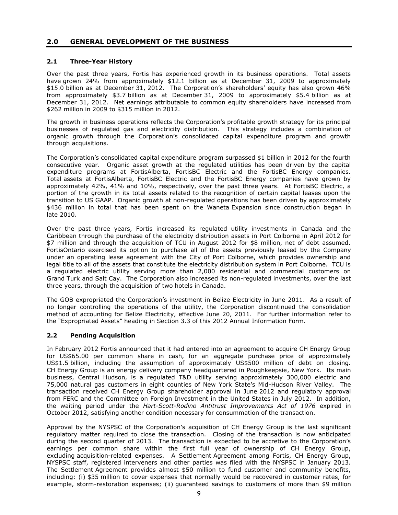## **2.0 GENERAL DEVELOPMENT OF THE BUSINESS**

## **2.1 Three-Year History**

Over the past three years, Fortis has experienced growth in its business operations. Total assets have grown 24% from approximately \$12.1 billion as at December 31, 2009 to approximately \$15.0 billion as at December 31, 2012. The Corporation's shareholders' equity has also grown 46% from approximately \$3.7 billion as at December 31, 2009 to approximately \$5.4 billion as at December 31, 2012. Net earnings attributable to common equity shareholders have increased from \$262 million in 2009 to \$315 million in 2012.

The growth in business operations reflects the Corporation's profitable growth strategy for its principal businesses of regulated gas and electricity distribution. This strategy includes a combination of organic growth through the Corporation's consolidated capital expenditure program and growth through acquisitions.

The Corporation's consolidated capital expenditure program surpassed \$1 billion in 2012 for the fourth consecutive year. Organic asset growth at the regulated utilities has been driven by the capital expenditure programs at FortisAlberta, FortisBC Electric and the FortisBC Energy companies. Total assets at FortisAlberta, FortisBC Electric and the FortisBC Energy companies have grown by approximately 42%, 41% and 10%, respectively, over the past three years. At FortisBC Electric, a portion of the growth in its total assets related to the recognition of certain capital leases upon the transition to US GAAP. Organic growth at non-regulated operations has been driven by approximately \$436 million in total that has been spent on the Waneta Expansion since construction began in late 2010.

Over the past three years, Fortis increased its regulated utility investments in Canada and the Caribbean through the purchase of the electricity distribution assets in Port Colborne in April 2012 for \$7 million and through the acquisition of TCU in August 2012 for \$8 million, net of debt assumed. FortisOntario exercised its option to purchase all of the assets previously leased by the Company under an operating lease agreement with the City of Port Colborne, which provides ownership and legal title to all of the assets that constitute the electricity distribution system in Port Colborne. TCU is a regulated electric utility serving more than 2,000 residential and commercial customers on Grand Turk and Salt Cay. The Corporation also increased its non-regulated investments, over the last three years, through the acquisition of two hotels in Canada.

The GOB expropriated the Corporation's investment in Belize Electricity in June 2011. As a result of no longer controlling the operations of the utility, the Corporation discontinued the consolidation method of accounting for Belize Electricity, effective June 20, 2011. For further information refer to the "Expropriated Assets" heading in Section 3.3 of this 2012 Annual Information Form.

## **2.2 Pending Acquisition**

In February 2012 Fortis announced that it had entered into an agreement to acquire CH Energy Group for US\$65.00 per common share in cash, for an aggregate purchase price of approximately US\$1.5 billion, including the assumption of approximately US\$500 million of debt on closing. CH Energy Group is an energy delivery company headquartered in Poughkeepsie, New York. Its main business, Central Hudson, is a regulated T&D utility serving approximately 300,000 electric and 75,000 natural gas customers in eight counties of New York State's Mid-Hudson River Valley. The transaction received CH Energy Group shareholder approval in June 2012 and regulatory approval from FERC and the Committee on Foreign Investment in the United States in July 2012. In addition, the waiting period under the *Hart-Scott-Rodino Antitrust Improvements Act of 1976* expired in October 2012, satisfying another condition necessary for consummation of the transaction.

Approval by the NYSPSC of the Corporation's acquisition of CH Energy Group is the last significant regulatory matter required to close the transaction. Closing of the transaction is now anticipated during the second quarter of 2013. The transaction is expected to be accretive to the Corporation's earnings per common share within the first full year of ownership of CH Energy Group, excluding acquisition-related expenses. A Settlement Agreement among Fortis, CH Energy Group, NYSPSC staff, registered interveners and other parties was filed with the NYSPSC in January 2013. The Settlement Agreement provides almost \$50 million to fund customer and community benefits, including: (i) \$35 million to cover expenses that normally would be recovered in customer rates, for example, storm-restoration expenses; (ii) guaranteed savings to customers of more than \$9 million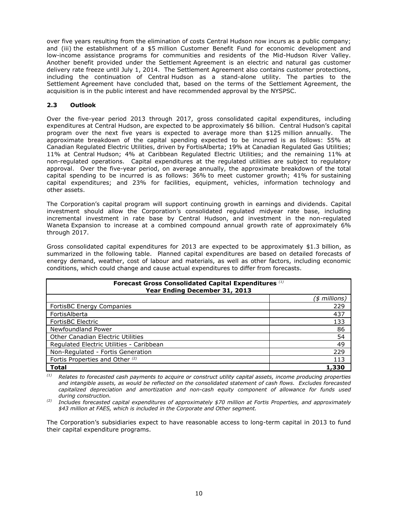over five years resulting from the elimination of costs Central Hudson now incurs as a public company; and (iii) the establishment of a \$5 million Customer Benefit Fund for economic development and low-income assistance programs for communities and residents of the Mid-Hudson River Valley. Another benefit provided under the Settlement Agreement is an electric and natural gas customer delivery rate freeze until July 1, 2014. The Settlement Agreement also contains customer protections, including the continuation of Central Hudson as a stand-alone utility. The parties to the Settlement Agreement have concluded that, based on the terms of the Settlement Agreement, the acquisition is in the public interest and have recommended approval by the NYSPSC.

## **2.3 Outlook**

Over the five-year period 2013 through 2017, gross consolidated capital expenditures, including expenditures at Central Hudson, are expected to be approximately \$6 billion. Central Hudson's capital program over the next five years is expected to average more than \$125 million annually. The approximate breakdown of the capital spending expected to be incurred is as follows: 55% at Canadian Regulated Electric Utilities, driven by FortisAlberta; 19% at Canadian Regulated Gas Utilities; 11% at Central Hudson; 4% at Caribbean Regulated Electric Utilities; and the remaining 11% at non-regulated operations. Capital expenditures at the regulated utilities are subject to regulatory approval. Over the five-year period, on average annually, the approximate breakdown of the total capital spending to be incurred is as follows: 36% to meet customer growth; 41% for sustaining capital expenditures; and 23% for facilities, equipment, vehicles, information technology and other assets.

The Corporation's capital program will support continuing growth in earnings and dividends. Capital investment should allow the Corporation's consolidated regulated midyear rate base, including incremental investment in rate base by Central Hudson, and investment in the non-regulated Waneta Expansion to increase at a combined compound annual growth rate of approximately 6% through 2017.

Gross consolidated capital expenditures for 2013 are expected to be approximately \$1.3 billion, as summarized in the following table. Planned capital expenditures are based on detailed forecasts of energy demand, weather, cost of labour and materials, as well as other factors, including economic conditions, which could change and cause actual expenditures to differ from forecasts.

| Forecast Gross Consolidated Capital Expenditures (1)<br>Year Ending December 31, 2013 |               |  |  |  |
|---------------------------------------------------------------------------------------|---------------|--|--|--|
|                                                                                       | (\$ millions) |  |  |  |
| FortisBC Energy Companies                                                             | 229           |  |  |  |
| FortisAlberta                                                                         | 437           |  |  |  |
| <b>FortisBC Electric</b>                                                              | 133           |  |  |  |
| Newfoundland Power                                                                    | 86            |  |  |  |
| <b>Other Canadian Electric Utilities</b>                                              | 54            |  |  |  |
| Regulated Electric Utilities - Caribbean                                              | 49            |  |  |  |
| Non-Regulated - Fortis Generation                                                     | 229           |  |  |  |
| Fortis Properties and Other <sup>(2)</sup>                                            | 113           |  |  |  |
| Total                                                                                 | 1,330         |  |  |  |

*(1) Relates to forecasted cash payments to acquire or construct utility capital assets, income producing properties and intangible assets, as would be reflected on the consolidated statement of cash flows. Excludes forecasted capitalized depreciation and amortization and non-cash equity component of allowance for funds used during construction.* 

*(2) Includes forecasted capital expenditures of approximately \$70 million at Fortis Properties, and approximately \$43 million at FAES, which is included in the Corporate and Other segment.* 

The Corporation's subsidiaries expect to have reasonable access to long-term capital in 2013 to fund their capital expenditure programs.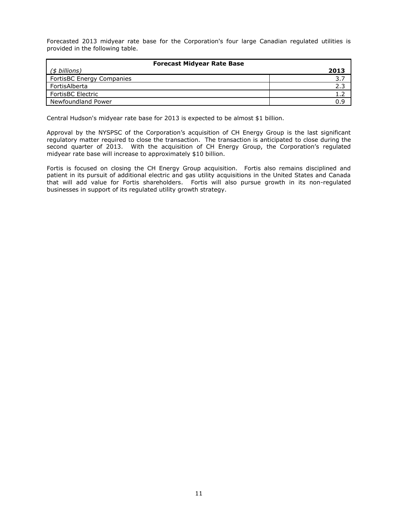Forecasted 2013 midyear rate base for the Corporation's four large Canadian regulated utilities is provided in the following table.

| <b>Forecast Midyear Rate Base</b> |      |
|-----------------------------------|------|
| (\$ billions)                     | 2013 |
| FortisBC Energy Companies         |      |
| FortisAlberta                     | 2.3  |
| <b>FortisBC Electric</b>          |      |
| Newfoundland Power                | 0.9  |

Central Hudson's midyear rate base for 2013 is expected to be almost \$1 billion.

Approval by the NYSPSC of the Corporation's acquisition of CH Energy Group is the last significant regulatory matter required to close the transaction. The transaction is anticipated to close during the second quarter of 2013. With the acquisition of CH Energy Group, the Corporation's regulated midyear rate base will increase to approximately \$10 billion.

Fortis is focused on closing the CH Energy Group acquisition. Fortis also remains disciplined and patient in its pursuit of additional electric and gas utility acquisitions in the United States and Canada that will add value for Fortis shareholders. Fortis will also pursue growth in its non-regulated businesses in support of its regulated utility growth strategy.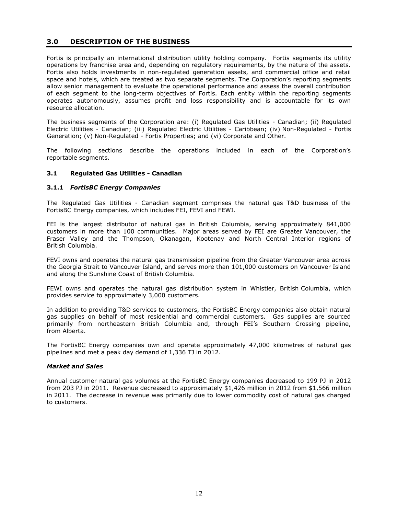## **3.0 DESCRIPTION OF THE BUSINESS**

Fortis is principally an international distribution utility holding company. Fortis segments its utility operations by franchise area and, depending on regulatory requirements, by the nature of the assets. Fortis also holds investments in non-regulated generation assets, and commercial office and retail space and hotels, which are treated as two separate segments. The Corporation's reporting segments allow senior management to evaluate the operational performance and assess the overall contribution of each segment to the long-term objectives of Fortis. Each entity within the reporting segments operates autonomously, assumes profit and loss responsibility and is accountable for its own resource allocation.

The business segments of the Corporation are: (i) Regulated Gas Utilities - Canadian; (ii) Regulated Electric Utilities - Canadian; (iii) Regulated Electric Utilities - Caribbean; (iv) Non-Regulated - Fortis Generation; (v) Non-Regulated - Fortis Properties; and (vi) Corporate and Other.

The following sections describe the operations included in each of the Corporation's reportable segments.

### **3.1 Regulated Gas Utilities - Canadian**

#### **3.1.1** *FortisBC Energy Companies*

The Regulated Gas Utilities - Canadian segment comprises the natural gas T&D business of the FortisBC Energy companies, which includes FEI, FEVI and FEWI.

FEI is the largest distributor of natural gas in British Columbia, serving approximately 841,000 customers in more than 100 communities. Major areas served by FEI are Greater Vancouver, the Fraser Valley and the Thompson, Okanagan, Kootenay and North Central Interior regions of British Columbia.

FEVI owns and operates the natural gas transmission pipeline from the Greater Vancouver area across the Georgia Strait to Vancouver Island, and serves more than 101,000 customers on Vancouver Island and along the Sunshine Coast of British Columbia.

FEWI owns and operates the natural gas distribution system in Whistler, British Columbia, which provides service to approximately 3,000 customers.

In addition to providing T&D services to customers, the FortisBC Energy companies also obtain natural gas supplies on behalf of most residential and commercial customers. Gas supplies are sourced primarily from northeastern British Columbia and, through FEI's Southern Crossing pipeline, from Alberta.

The FortisBC Energy companies own and operate approximately 47,000 kilometres of natural gas pipelines and met a peak day demand of 1,336 TJ in 2012.

#### *Market and Sales*

Annual customer natural gas volumes at the FortisBC Energy companies decreased to 199 PJ in 2012 from 203 PJ in 2011. Revenue decreased to approximately \$1,426 million in 2012 from \$1,566 million in 2011. The decrease in revenue was primarily due to lower commodity cost of natural gas charged to customers.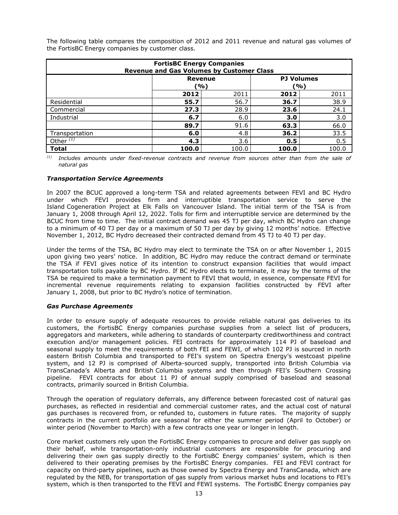The following table compares the composition of 2012 and 2011 revenue and natural gas volumes of the FortisBC Energy companies by customer class.

| <b>FortisBC Energy Companies</b><br><b>Revenue and Gas Volumes by Customer Class</b> |       |       |       |       |  |  |
|--------------------------------------------------------------------------------------|-------|-------|-------|-------|--|--|
| <b>PJ Volumes</b><br><b>Revenue</b>                                                  |       |       |       |       |  |  |
| (%)<br>'%)                                                                           |       |       |       |       |  |  |
| 2011<br>2011<br>2012<br>2012                                                         |       |       |       |       |  |  |
| Residential                                                                          | 55.7  | 56.7  | 36.7  | 38.9  |  |  |
| Commercial                                                                           | 27.3  | 28.9  | 23.6  | 24.1  |  |  |
| Industrial                                                                           | 6.7   | 6.0   | 3.0   | 3.0   |  |  |
|                                                                                      | 89.7  | 91.6  | 63.3  | 66.0  |  |  |
| Transportation                                                                       | 6.0   | 4.8   | 36.2  | 33.5  |  |  |
| Other $(1)$                                                                          | 4.3   | 3.6   | 0.5   | 0.5   |  |  |
| <b>Total</b>                                                                         | 100.0 | 100.0 | 100.0 | 100.0 |  |  |

*(1) Includes amounts under fixed-revenue contracts and revenue from sources other than from the sale of natural gas* 

### *Transportation Service Agreements*

In 2007 the BCUC approved a long-term TSA and related agreements between FEVI and BC Hydro under which FEVI provides firm and interruptible transportation service to serve the Island Cogeneration Project at Elk Falls on Vancouver Island. The initial term of the TSA is from January 1, 2008 through April 12, 2022. Tolls for firm and interruptible service are determined by the BCUC from time to time. The initial contract demand was 45 TJ per day, which BC Hydro can change to a minimum of 40 TJ per day or a maximum of 50 TJ per day by giving 12 months' notice. Effective November 1, 2012, BC Hydro decreased their contracted demand from 45 TJ to 40 TJ per day.

Under the terms of the TSA, BC Hydro may elect to terminate the TSA on or after November 1, 2015 upon giving two years' notice. In addition, BC Hydro may reduce the contract demand or terminate the TSA if FEVI gives notice of its intention to construct expansion facilities that would impact transportation tolls payable by BC Hydro. If BC Hydro elects to terminate, it may by the terms of the TSA be required to make a termination payment to FEVI that would, in essence, compensate FEVI for incremental revenue requirements relating to expansion facilities constructed by FEVI after January 1, 2008, but prior to BC Hydro's notice of termination.

#### *Gas Purchase Agreements*

In order to ensure supply of adequate resources to provide reliable natural gas deliveries to its customers, the FortisBC Energy companies purchase supplies from a select list of producers, aggregators and marketers, while adhering to standards of counterparty creditworthiness and contract execution and/or management policies. FEI contracts for approximately 114 PJ of baseload and seasonal supply to meet the requirements of both FEI and FEWI, of which 102 PJ is sourced in north eastern British Columbia and transported to FEI's system on Spectra Energy's westcoast pipeline system, and 12 PJ is comprised of Alberta-sourced supply, transported into British Columbia via TransCanada's Alberta and British Columbia systems and then through FEI's Southern Crossing pipeline. FEVI contracts for about 11 PJ of annual supply comprised of baseload and seasonal contracts, primarily sourced in British Columbia.

Through the operation of regulatory deferrals, any difference between forecasted cost of natural gas purchases, as reflected in residential and commercial customer rates, and the actual cost of natural gas purchases is recovered from, or refunded to, customers in future rates. The majority of supply contracts in the current portfolio are seasonal for either the summer period (April to October) or winter period (November to March) with a few contracts one year or longer in length.

Core market customers rely upon the FortisBC Energy companies to procure and deliver gas supply on their behalf, while transportation-only industrial customers are responsible for procuring and delivering their own gas supply directly to the FortisBC Energy companies' system, which is then delivered to their operating premises by the FortisBC Energy companies. FEI and FEVI contract for capacity on third-party pipelines, such as those owned by Spectra Energy and TransCanada, which are regulated by the NEB, for transportation of gas supply from various market hubs and locations to FEI's system, which is then transported to the FEVI and FEWI systems. The FortisBC Energy companies pay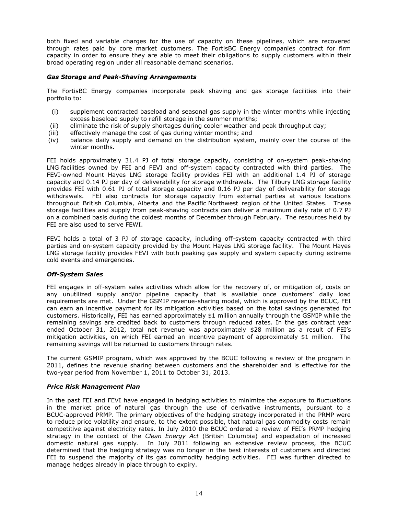both fixed and variable charges for the use of capacity on these pipelines, which are recovered through rates paid by core market customers. The FortisBC Energy companies contract for firm capacity in order to ensure they are able to meet their obligations to supply customers within their broad operating region under all reasonable demand scenarios.

### *Gas Storage and Peak-Shaving Arrangements*

The FortisBC Energy companies incorporate peak shaving and gas storage facilities into their portfolio to:

- (i) supplement contracted baseload and seasonal gas supply in the winter months while injecting excess baseload supply to refill storage in the summer months;
- (ii) eliminate the risk of supply shortages during cooler weather and peak throughput day;
- (iii) effectively manage the cost of gas during winter months; and
- (iv) balance daily supply and demand on the distribution system, mainly over the course of the winter months.

FEI holds approximately 31.4 PJ of total storage capacity, consisting of on-system peak-shaving LNG facilities owned by FEI and FEVI and off-system capacity contracted with third parties. The FEVI-owned Mount Hayes LNG storage facility provides FEI with an additional 1.4 PJ of storage capacity and 0.14 PJ per day of deliverability for storage withdrawals. The Tilbury LNG storage facility provides FEI with 0.61 PJ of total storage capacity and 0.16 PJ per day of deliverability for storage withdrawals. FEI also contracts for storage capacity from external parties at various locations throughout British Columbia, Alberta and the Pacific Northwest region of the United States. These storage facilities and supply from peak-shaving contracts can deliver a maximum daily rate of 0.7 PJ on a combined basis during the coldest months of December through February. The resources held by FEI are also used to serve FEWI.

FEVI holds a total of 3 PJ of storage capacity, including off-system capacity contracted with third parties and on-system capacity provided by the Mount Hayes LNG storage facility. The Mount Hayes LNG storage facility provides FEVI with both peaking gas supply and system capacity during extreme cold events and emergencies.

#### *Off-System Sales*

FEI engages in off-system sales activities which allow for the recovery of, or mitigation of, costs on any unutilized supply and/or pipeline capacity that is available once customers' daily load requirements are met. Under the GSMIP revenue-sharing model, which is approved by the BCUC, FEI can earn an incentive payment for its mitigation activities based on the total savings generated for customers. Historically, FEI has earned approximately \$1 million annually through the GSMIP while the remaining savings are credited back to customers through reduced rates. In the gas contract year ended October 31, 2012, total net revenue was approximately \$28 million as a result of FEI's mitigation activities, on which FEI earned an incentive payment of approximately \$1 million. The remaining savings will be returned to customers through rates.

The current GSMIP program, which was approved by the BCUC following a review of the program in 2011, defines the revenue sharing between customers and the shareholder and is effective for the two-year period from November 1, 2011 to October 31, 2013.

#### *Price Risk Management Plan*

In the past FEI and FEVI have engaged in hedging activities to minimize the exposure to fluctuations in the market price of natural gas through the use of derivative instruments, pursuant to a BCUC-approved PRMP. The primary objectives of the hedging strategy incorporated in the PRMP were to reduce price volatility and ensure, to the extent possible, that natural gas commodity costs remain competitive against electricity rates. In July 2010 the BCUC ordered a review of FEI's PRMP hedging strategy in the context of the *Clean Energy Act* (British Columbia) and expectation of increased domestic natural gas supply. In July 2011 following an extensive review process, the BCUC determined that the hedging strategy was no longer in the best interests of customers and directed FEI to suspend the majority of its gas commodity hedging activities. FEI was further directed to manage hedges already in place through to expiry.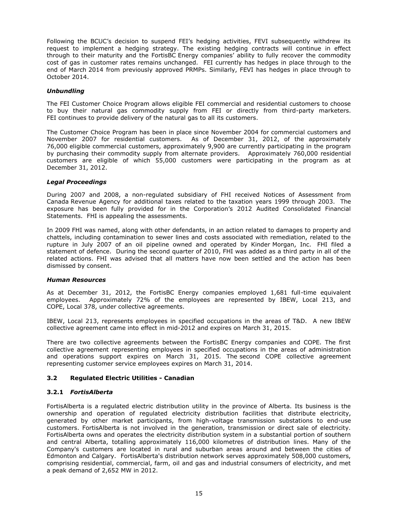Following the BCUC's decision to suspend FEI's hedging activities, FEVI subsequently withdrew its request to implement a hedging strategy. The existing hedging contracts will continue in effect through to their maturity and the FortisBC Energy companies' ability to fully recover the commodity cost of gas in customer rates remains unchanged. FEI currently has hedges in place through to the end of March 2014 from previously approved PRMPs. Similarly, FEVI has hedges in place through to October 2014.

## *Unbundling*

The FEI Customer Choice Program allows eligible FEI commercial and residential customers to choose to buy their natural gas commodity supply from FEI or directly from third-party marketers. FEI continues to provide delivery of the natural gas to all its customers.

The Customer Choice Program has been in place since November 2004 for commercial customers and November 2007 for residential customers. As of December 31, 2012, of the approximately 76,000 eligible commercial customers, approximately 9,900 are currently participating in the program by purchasing their commodity supply from alternate providers. Approximately 760,000 residential customers are eligible of which 55,000 customers were participating in the program as at December 31, 2012.

### *Legal Proceedings*

During 2007 and 2008, a non-regulated subsidiary of FHI received Notices of Assessment from Canada Revenue Agency for additional taxes related to the taxation years 1999 through 2003. The exposure has been fully provided for in the Corporation's 2012 Audited Consolidated Financial Statements. FHI is appealing the assessments.

In 2009 FHI was named, along with other defendants, in an action related to damages to property and chattels, including contamination to sewer lines and costs associated with remediation, related to the rupture in July 2007 of an oil pipeline owned and operated by Kinder Morgan, Inc. FHI filed a statement of defence. During the second quarter of 2010, FHI was added as a third party in all of the related actions. FHI was advised that all matters have now been settled and the action has been dismissed by consent.

#### *Human Resources*

As at December 31, 2012, the FortisBC Energy companies employed 1,681 full-time equivalent employees. Approximately 72% of the employees are represented by IBEW, Local 213, and COPE, Local 378, under collective agreements.

IBEW, Local 213, represents employees in specified occupations in the areas of T&D. A new IBEW collective agreement came into effect in mid-2012 and expires on March 31, 2015.

There are two collective agreements between the FortisBC Energy companies and COPE. The first collective agreement representing employees in specified occupations in the areas of administration and operations support expires on March 31, 2015. The second COPE collective agreement representing customer service employees expires on March 31, 2014.

## **3.2 Regulated Electric Utilities - Canadian**

## **3.2.1** *FortisAlberta*

FortisAlberta is a regulated electric distribution utility in the province of Alberta. Its business is the ownership and operation of regulated electricity distribution facilities that distribute electricity, generated by other market participants, from high-voltage transmission substations to end-use customers. FortisAlberta is not involved in the generation, transmission or direct sale of electricity. FortisAlberta owns and operates the electricity distribution system in a substantial portion of southern and central Alberta, totalling approximately 116,000 kilometres of distribution lines. Many of the Company's customers are located in rural and suburban areas around and between the cities of Edmonton and Calgary. FortisAlberta's distribution network serves approximately 508,000 customers, comprising residential, commercial, farm, oil and gas and industrial consumers of electricity, and met a peak demand of 2,652 MW in 2012.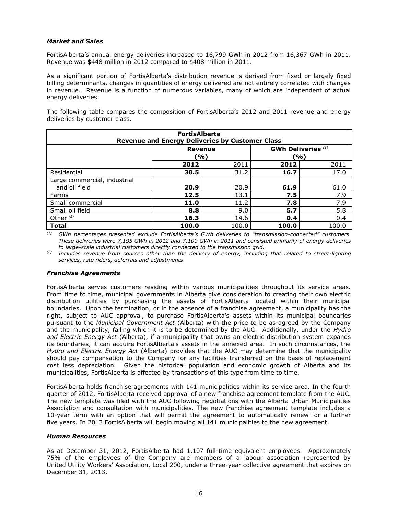## *Market and Sales*

FortisAlberta's annual energy deliveries increased to 16,799 GWh in 2012 from 16,367 GWh in 2011. Revenue was \$448 million in 2012 compared to \$408 million in 2011.

As a significant portion of FortisAlberta's distribution revenue is derived from fixed or largely fixed billing determinants, changes in quantities of energy delivered are not entirely correlated with changes in revenue. Revenue is a function of numerous variables, many of which are independent of actual energy deliveries.

The following table compares the composition of FortisAlberta's 2012 and 2011 revenue and energy deliveries by customer class.

| <b>FortisAlberta</b><br><b>Revenue and Energy Deliveries by Customer Class</b> |                            |       |       |       |  |  |  |
|--------------------------------------------------------------------------------|----------------------------|-------|-------|-------|--|--|--|
| <b>GWh Deliveries</b> (1)<br><b>Revenue</b><br>(%)<br>(%)                      |                            |       |       |       |  |  |  |
|                                                                                | 2012                       | 2011  | 2012  | 2011  |  |  |  |
| Residential                                                                    | 30.5                       | 31.2  | 16.7  | 17.0  |  |  |  |
| Large commercial, industrial                                                   |                            |       |       |       |  |  |  |
| and oil field                                                                  | 20.9                       | 20.9  | 61.9  | 61.0  |  |  |  |
| Farms                                                                          | 12.5                       | 13.1  | 7.5   | 7.9   |  |  |  |
| Small commercial                                                               | 11.0                       | 11.2  | 7.8   | 7.9   |  |  |  |
| Small oil field                                                                | 8.8                        | 9.0   | 5.7   | 5.8   |  |  |  |
| Other $(2)$                                                                    | 0.4<br>16.3<br>14.6<br>0.4 |       |       |       |  |  |  |
| <b>Total</b>                                                                   | 100.0                      | 100.0 | 100.0 | 100.0 |  |  |  |

*(1) GWh percentages presented exclude FortisAlberta's GWh deliveries to "transmission-connected" customers. These deliveries were 7,195 GWh in 2012 and 7,100 GWh in 2011 and consisted primarily of energy deliveries to large-scale industrial customers directly connected to the transmission grid.* 

*(2) Includes revenue from sources other than the delivery of energy, including that related to street-lighting services, rate riders, deferrals and adjustments*

## *Franchise Agreements*

FortisAlberta serves customers residing within various municipalities throughout its service areas. From time to time, municipal governments in Alberta give consideration to creating their own electric distribution utilities by purchasing the assets of FortisAlberta located within their municipal boundaries. Upon the termination, or in the absence of a franchise agreement, a municipality has the right, subject to AUC approval, to purchase FortisAlberta's assets within its municipal boundaries pursuant to the *Municipal Government Act* (Alberta) with the price to be as agreed by the Company and the municipality, failing which it is to be determined by the AUC. Additionally, under the *Hydro and Electric Energy Act* (Alberta), if a municipality that owns an electric distribution system expands its boundaries, it can acquire FortisAlberta's assets in the annexed area. In such circumstances, the *Hydro and Electric Energy Act* (Alberta) provides that the AUC may determine that the municipality should pay compensation to the Company for any facilities transferred on the basis of replacement cost less depreciation. Given the historical population and economic growth of Alberta and its municipalities, FortisAlberta is affected by transactions of this type from time to time.

FortisAlberta holds franchise agreements with 141 municipalities within its service area. In the fourth quarter of 2012, FortisAlberta received approval of a new franchise agreement template from the AUC. The new template was filed with the AUC following negotiations with the Alberta Urban Municipalities Association and consultation with municipalities. The new franchise agreement template includes a 10-year term with an option that will permit the agreement to automatically renew for a further five years. In 2013 FortisAlberta will begin moving all 141 municipalities to the new agreement.

### *Human Resources*

As at December 31, 2012, FortisAlberta had 1,107 full-time equivalent employees. Approximately 75% of the employees of the Company are members of a labour association represented by United Utility Workers' Association, Local 200, under a three-year collective agreement that expires on December 31, 2013.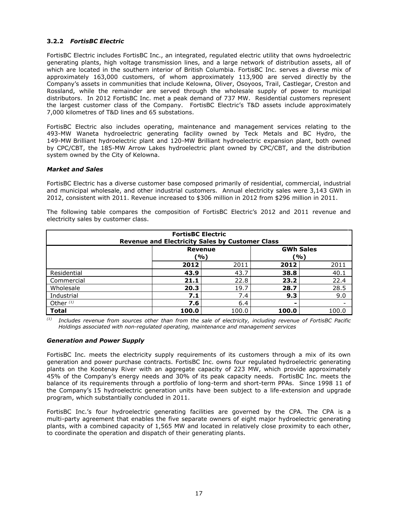## **3.2.2** *FortisBC Electric*

FortisBC Electric includes FortisBC Inc., an integrated, regulated electric utility that owns hydroelectric generating plants, high voltage transmission lines, and a large network of distribution assets, all of which are located in the southern interior of British Columbia. FortisBC Inc. serves a diverse mix of approximately 163,000 customers, of whom approximately 113,900 are served directly by the Company's assets in communities that include Kelowna, Oliver, Osoyoos, Trail, Castlegar, Creston and Rossland, while the remainder are served through the wholesale supply of power to municipal distributors. In 2012 FortisBC Inc. met a peak demand of 737 MW. Residential customers represent the largest customer class of the Company. FortisBC Electric's T&D assets include approximately 7,000 kilometres of T&D lines and 65 substations.

FortisBC Electric also includes operating, maintenance and management services relating to the 493-MW Waneta hydroelectric generating facility owned by Teck Metals and BC Hydro, the 149-MW Brilliant hydroelectric plant and 120-MW Brilliant hydroelectric expansion plant, both owned by CPC/CBT, the 185-MW Arrow Lakes hydroelectric plant owned by CPC/CBT, and the distribution system owned by the City of Kelowna.

## *Market and Sales*

FortisBC Electric has a diverse customer base composed primarily of residential, commercial, industrial and municipal wholesale, and other industrial customers. Annual electricity sales were 3,143 GWh in 2012, consistent with 2011. Revenue increased to \$306 million in 2012 from \$296 million in 2011.

| The following table compares the composition of FortisBC Electric's 2012 and 2011 revenue and |  |  |  |  |  |  |
|-----------------------------------------------------------------------------------------------|--|--|--|--|--|--|
| electricity sales by customer class.                                                          |  |  |  |  |  |  |

| <b>FortisBC Electric</b><br><b>Revenue and Electricity Sales by Customer Class</b> |       |       |       |       |  |  |
|------------------------------------------------------------------------------------|-------|-------|-------|-------|--|--|
| <b>GWh Sales</b><br><b>Revenue</b><br>(%)<br>(%)                                   |       |       |       |       |  |  |
|                                                                                    | 2012  | 2011  | 2012  | 2011  |  |  |
| Residential                                                                        | 43.9  | 43.7  | 38.8  | 40.1  |  |  |
| Commercial                                                                         | 21.1  | 22.8  | 23.2  | 22.4  |  |  |
| Wholesale                                                                          | 20.3  | 19.7  | 28.7  | 28.5  |  |  |
| Industrial                                                                         | 7.1   | 7.4   | 9.3   | 9.0   |  |  |
| Other $(1)$                                                                        | 7.6   | 6.4   |       |       |  |  |
| <b>Total</b>                                                                       | 100.0 | 100.0 | 100.0 | 100.0 |  |  |

*(1) Includes revenue from sources other than from the sale of electricity, including revenue of FortisBC Pacific Holdings associated with non-regulated operating, maintenance and management services*

#### *Generation and Power Supply*

FortisBC Inc. meets the electricity supply requirements of its customers through a mix of its own generation and power purchase contracts. FortisBC Inc. owns four regulated hydroelectric generating plants on the Kootenay River with an aggregate capacity of 223 MW, which provide approximately 45% of the Company's energy needs and 30% of its peak capacity needs. FortisBC Inc. meets the balance of its requirements through a portfolio of long-term and short-term PPAs. Since 1998 11 of the Company's 15 hydroelectric generation units have been subject to a life-extension and upgrade program, which substantially concluded in 2011.

FortisBC Inc.'s four hydroelectric generating facilities are governed by the CPA. The CPA is a multi-party agreement that enables the five separate owners of eight major hydroelectric generating plants, with a combined capacity of 1,565 MW and located in relatively close proximity to each other, to coordinate the operation and dispatch of their generating plants.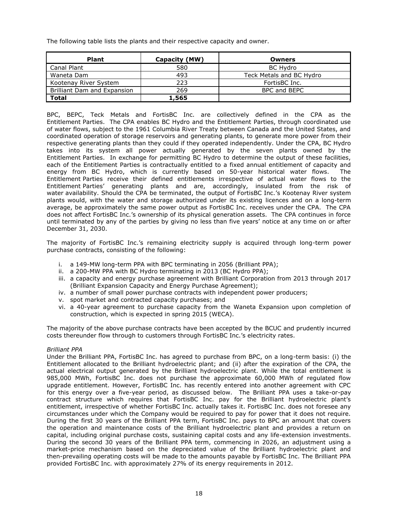The following table lists the plants and their respective capacity and owner.

| <b>Plant</b>                       | Capacity (MW) | <b>Owners</b>            |
|------------------------------------|---------------|--------------------------|
| Canal Plant                        | 580           | <b>BC Hydro</b>          |
| Waneta Dam                         | 493           | Teck Metals and BC Hydro |
| Kootenay River System              | 223           | FortisBC Inc.            |
| <b>Brilliant Dam and Expansion</b> | 269           | BPC and BEPC             |
| <b>Total</b>                       | 1,565         |                          |

BPC, BEPC, Teck Metals and FortisBC Inc. are collectively defined in the CPA as the Entitlement Parties. The CPA enables BC Hydro and the Entitlement Parties, through coordinated use of water flows, subject to the 1961 Columbia River Treaty between Canada and the United States, and coordinated operation of storage reservoirs and generating plants, to generate more power from their respective generating plants than they could if they operated independently. Under the CPA, BC Hydro takes into its system all power actually generated by the seven plants owned by the Entitlement Parties. In exchange for permitting BC Hydro to determine the output of these facilities, each of the Entitlement Parties is contractually entitled to a fixed annual entitlement of capacity and energy from BC Hydro, which is currently based on 50-year historical water flows. The Entitlement Parties receive their defined entitlements irrespective of actual water flows to the Entitlement Parties' generating plants and are, accordingly, insulated from the risk of water availability. Should the CPA be terminated, the output of FortisBC Inc.'s Kootenay River system plants would, with the water and storage authorized under its existing licences and on a long-term average, be approximately the same power output as FortisBC Inc. receives under the CPA. The CPA does not affect FortisBC Inc.'s ownership of its physical generation assets. The CPA continues in force until terminated by any of the parties by giving no less than five years' notice at any time on or after December 31, 2030.

The majority of FortisBC Inc.'s remaining electricity supply is acquired through long-term power purchase contracts, consisting of the following:

- i. a 149-MW long-term PPA with BPC terminating in 2056 (Brilliant PPA);
- ii. a 200-MW PPA with BC Hydro terminating in 2013 (BC Hydro PPA);
- iii. a capacity and energy purchase agreement with Brilliant Corporation from 2013 through 2017 (Brilliant Expansion Capacity and Energy Purchase Agreement);
- iv. a number of small power purchase contracts with independent power producers;
- v. spot market and contracted capacity purchases; and
- vi. a 40-year agreement to purchase capacity from the Waneta Expansion upon completion of construction, which is expected in spring 2015 (WECA).

The majority of the above purchase contracts have been accepted by the BCUC and prudently incurred costs thereunder flow through to customers through FortisBC Inc.'s electricity rates.

#### *Brilliant PPA*

Under the Brilliant PPA, FortisBC Inc. has agreed to purchase from BPC, on a long-term basis: (i) the Entitlement allocated to the Brilliant hydroelectric plant; and (ii) after the expiration of the CPA, the actual electrical output generated by the Brilliant hydroelectric plant. While the total entitlement is 985,000 MWh, FortisBC Inc. does not purchase the approximate 60,000 MWh of regulated flow upgrade entitlement. However, FortisBC Inc. has recently entered into another agreement with CPC for this energy over a five-year period, as discussed below. The Brilliant PPA uses a take-or-pay contract structure which requires that FortisBC Inc. pay for the Brilliant hydroelectric plant's entitlement, irrespective of whether FortisBC Inc. actually takes it. FortisBC Inc. does not foresee any circumstances under which the Company would be required to pay for power that it does not require. During the first 30 years of the Brilliant PPA term, FortisBC Inc. pays to BPC an amount that covers the operation and maintenance costs of the Brilliant hydroelectric plant and provides a return on capital, including original purchase costs, sustaining capital costs and any life-extension investments. During the second 30 years of the Brilliant PPA term, commencing in 2026, an adjustment using a market-price mechanism based on the depreciated value of the Brilliant hydroelectric plant and then-prevailing operating costs will be made to the amounts payable by FortisBC Inc. The Brilliant PPA provided FortisBC Inc. with approximately 27% of its energy requirements in 2012.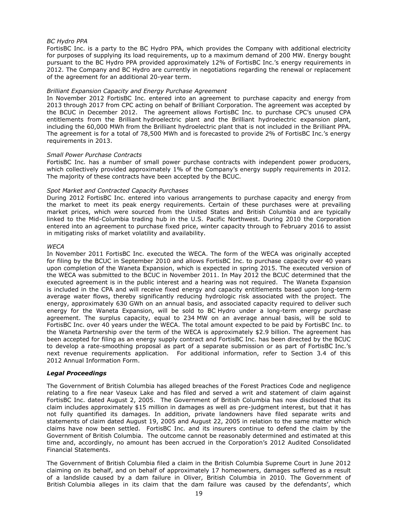### *BC Hydro PPA*

FortisBC Inc. is a party to the BC Hydro PPA, which provides the Company with additional electricity for purposes of supplying its load requirements, up to a maximum demand of 200 MW. Energy bought pursuant to the BC Hydro PPA provided approximately 12% of FortisBC Inc.'s energy requirements in 2012. The Company and BC Hydro are currently in negotiations regarding the renewal or replacement of the agreement for an additional 20-year term.

#### *Brilliant Expansion Capacity and Energy Purchase Agreement*

In November 2012 FortisBC Inc. entered into an agreement to purchase capacity and energy from 2013 through 2017 from CPC acting on behalf of Brilliant Corporation. The agreement was accepted by the BCUC in December 2012. The agreement allows FortisBC Inc. to purchase CPC's unused CPA entitlements from the Brilliant hydroelectric plant and the Brilliant hydroelectric expansion plant, including the 60,000 MWh from the Brilliant hydroelectric plant that is not included in the Brilliant PPA. The agreement is for a total of 78,500 MWh and is forecasted to provide 2% of FortisBC Inc.'s energy requirements in 2013.

#### *Small Power Purchase Contracts*

FortisBC Inc. has a number of small power purchase contracts with independent power producers, which collectively provided approximately 1% of the Company's energy supply requirements in 2012. The majority of these contracts have been accepted by the BCUC.

#### *Spot Market and Contracted Capacity Purchases*

During 2012 FortisBC Inc. entered into various arrangements to purchase capacity and energy from the market to meet its peak energy requirements. Certain of these purchases were at prevailing market prices, which were sourced from the United States and British Columbia and are typically linked to the Mid-Columbia trading hub in the U.S. Pacific Northwest. During 2010 the Corporation entered into an agreement to purchase fixed price, winter capacity through to February 2016 to assist in mitigating risks of market volatility and availability.

#### *WECA*

In November 2011 FortisBC Inc. executed the WECA. The form of the WECA was originally accepted for filing by the BCUC in September 2010 and allows FortisBC Inc. to purchase capacity over 40 years upon completion of the Waneta Expansion, which is expected in spring 2015. The executed version of the WECA was submitted to the BCUC in November 2011. In May 2012 the BCUC determined that the executed agreement is in the public interest and a hearing was not required. The Waneta Expansion is included in the CPA and will receive fixed energy and capacity entitlements based upon long-term average water flows, thereby significantly reducing hydrologic risk associated with the project. The energy, approximately 630 GWh on an annual basis, and associated capacity required to deliver such energy for the Waneta Expansion, will be sold to BC Hydro under a long-term energy purchase agreement. The surplus capacity, equal to 234 MW on an average annual basis, will be sold to FortisBC Inc. over 40 years under the WECA. The total amount expected to be paid by FortisBC Inc. to the Waneta Partnership over the term of the WECA is approximately \$2.9 billion. The agreement has been accepted for filing as an energy supply contract and FortisBC Inc. has been directed by the BCUC to develop a rate-smoothing proposal as part of a separate submission or as part of FortisBC Inc.'s next revenue requirements application. For additional information, refer to Section 3.4 of this 2012 Annual Information Form.

#### *Legal Proceedings*

The Government of British Columbia has alleged breaches of the Forest Practices Code and negligence relating to a fire near Vaseux Lake and has filed and served a writ and statement of claim against FortisBC Inc. dated August 2, 2005. The Government of British Columbia has now disclosed that its claim includes approximately \$15 million in damages as well as pre-judgment interest, but that it has not fully quantified its damages. In addition, private landowners have filed separate writs and statements of claim dated August 19, 2005 and August 22, 2005 in relation to the same matter which claims have now been settled. FortisBC Inc. and its insurers continue to defend the claim by the Government of British Columbia. The outcome cannot be reasonably determined and estimated at this time and, accordingly, no amount has been accrued in the Corporation's 2012 Audited Consolidated Financial Statements.

The Government of British Columbia filed a claim in the British Columbia Supreme Court in June 2012 claiming on its behalf, and on behalf of approximately 17 homeowners, damages suffered as a result of a landslide caused by a dam failure in Oliver, British Columbia in 2010. The Government of British Columbia alleges in its claim that the dam failure was caused by the defendants', which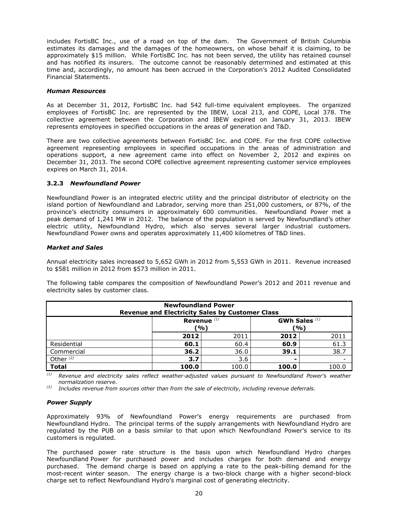includes FortisBC Inc., use of a road on top of the dam. The Government of British Columbia estimates its damages and the damages of the homeowners, on whose behalf it is claiming, to be approximately \$15 million. While FortisBC Inc. has not been served, the utility has retained counsel and has notified its insurers. The outcome cannot be reasonably determined and estimated at this time and, accordingly, no amount has been accrued in the Corporation's 2012 Audited Consolidated Financial Statements.

#### *Human Resources*

As at December 31, 2012, FortisBC Inc. had 542 full-time equivalent employees. The organized employees of FortisBC Inc. are represented by the IBEW, Local 213, and COPE, Local 378. The collective agreement between the Corporation and IBEW expired on January 31, 2013. IBEW represents employees in specified occupations in the areas of generation and T&D.

There are two collective agreements between FortisBC Inc. and COPE. For the first COPE collective agreement representing employees in specified occupations in the areas of administration and operations support, a new agreement came into effect on November 2, 2012 and expires on December 31, 2013. The second COPE collective agreement representing customer service employees expires on March 31, 2014.

### **3.2.3** *Newfoundland Power*

Newfoundland Power is an integrated electric utility and the principal distributor of electricity on the island portion of Newfoundland and Labrador, serving more than 251,000 customers, or 87%, of the province's electricity consumers in approximately 600 communities. Newfoundland Power met a peak demand of 1,241 MW in 2012. The balance of the population is served by Newfoundland's other electric utility, Newfoundland Hydro, which also serves several larger industrial customers. Newfoundland Power owns and operates approximately 11,400 kilometres of T&D lines.

### *Market and Sales*

Annual electricity sales increased to 5,652 GWh in 2012 from 5,553 GWh in 2011. Revenue increased to \$581 million in 2012 from \$573 million in 2011.

The following table compares the composition of Newfoundland Power's 2012 and 2011 revenue and electricity sales by customer class.

| <b>Newfoundland Power</b><br><b>Revenue and Electricity Sales by Customer Class</b> |       |       |       |       |  |  |  |
|-------------------------------------------------------------------------------------|-------|-------|-------|-------|--|--|--|
| Revenue $(1)$<br>GWh Sales <sup>(1)</sup><br>(%)<br>(%)                             |       |       |       |       |  |  |  |
|                                                                                     | 2012  | 2011  | 2012  | 2011  |  |  |  |
| Residential                                                                         | 60.1  | 60.4  | 60.9  | 61.3  |  |  |  |
| Commercial                                                                          | 36.2  | 36.0  | 39.1  | 38.7  |  |  |  |
| Other $(2)$                                                                         | 3.7   | 3.6   | -     |       |  |  |  |
| <b>Total</b>                                                                        | 100.0 | 100.0 | 100.0 | 100.0 |  |  |  |

*(1) Revenue and electricity sales reflect weather-adjusted values pursuant to Newfoundland Power's weather normalization reserve.* 

*(2) Includes revenue from sources other than from the sale of electricity, including revenue deferrals.*

## *Power Supply*

Approximately 93% of Newfoundland Power's energy requirements are purchased from Newfoundland Hydro. The principal terms of the supply arrangements with Newfoundland Hydro are regulated by the PUB on a basis similar to that upon which Newfoundland Power's service to its customers is regulated.

The purchased power rate structure is the basis upon which Newfoundland Hydro charges Newfoundland Power for purchased power and includes charges for both demand and energy purchased. The demand charge is based on applying a rate to the peak-billing demand for the most-recent winter season. The energy charge is a two-block charge with a higher second-block charge set to reflect Newfoundland Hydro's marginal cost of generating electricity.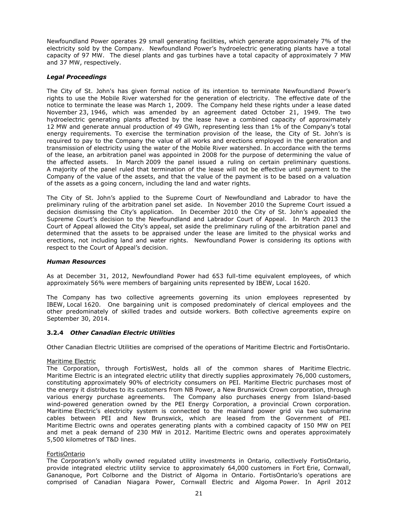Newfoundland Power operates 29 small generating facilities, which generate approximately 7% of the electricity sold by the Company. Newfoundland Power's hydroelectric generating plants have a total capacity of 97 MW. The diesel plants and gas turbines have a total capacity of approximately 7 MW and 37 MW, respectively.

## *Legal Proceedings*

The City of St. John's has given formal notice of its intention to terminate Newfoundland Power's rights to use the Mobile River watershed for the generation of electricity. The effective date of the notice to terminate the lease was March 1, 2009. The Company held these rights under a lease dated November 23, 1946, which was amended by an agreement dated October 21, 1949. The two hydroelectric generating plants affected by the lease have a combined capacity of approximately 12 MW and generate annual production of 49 GWh, representing less than 1% of the Company's total energy requirements. To exercise the termination provision of the lease, the City of St. John's is required to pay to the Company the value of all works and erections employed in the generation and transmission of electricity using the water of the Mobile River watershed. In accordance with the terms of the lease, an arbitration panel was appointed in 2008 for the purpose of determining the value of the affected assets. In March 2009 the panel issued a ruling on certain preliminary questions. A majority of the panel ruled that termination of the lease will not be effective until payment to the Company of the value of the assets, and that the value of the payment is to be based on a valuation of the assets as a going concern, including the land and water rights.

The City of St. John's applied to the Supreme Court of Newfoundland and Labrador to have the preliminary ruling of the arbitration panel set aside. In November 2010 the Supreme Court issued a decision dismissing the City's application. In December 2010 the City of St. John's appealed the Supreme Court's decision to the Newfoundland and Labrador Court of Appeal. In March 2013 the Court of Appeal allowed the City's appeal, set aside the preliminary ruling of the arbitration panel and determined that the assets to be appraised under the lease are limited to the physical works and erections, not including land and water rights. Newfoundland Power is considering its options with respect to the Court of Appeal's decision.

#### *Human Resources*

As at December 31, 2012, Newfoundland Power had 653 full-time equivalent employees, of which approximately 56% were members of bargaining units represented by IBEW, Local 1620.

The Company has two collective agreements governing its union employees represented by IBEW, Local 1620. One bargaining unit is composed predominately of clerical employees and the other predominately of skilled trades and outside workers. Both collective agreements expire on September 30, 2014.

## **3.2.4** *Other Canadian Electric Utilities*

Other Canadian Electric Utilities are comprised of the operations of Maritime Electric and FortisOntario.

#### Maritime Electric

The Corporation, through FortisWest, holds all of the common shares of Maritime Electric. Maritime Electric is an integrated electric utility that directly supplies approximately 76,000 customers, constituting approximately 90% of electricity consumers on PEI. Maritime Electric purchases most of the energy it distributes to its customers from NB Power, a New Brunswick Crown corporation, through various energy purchase agreements. The Company also purchases energy from Island-based wind-powered generation owned by the PEI Energy Corporation, a provincial Crown corporation. Maritime Electric's electricity system is connected to the mainland power grid via two submarine cables between PEI and New Brunswick, which are leased from the Government of PEI. Maritime Electric owns and operates generating plants with a combined capacity of 150 MW on PEI and met a peak demand of 230 MW in 2012. Maritime Electric owns and operates approximately 5,500 kilometres of T&D lines.

#### FortisOntario

The Corporation's wholly owned regulated utility investments in Ontario, collectively FortisOntario, provide integrated electric utility service to approximately 64,000 customers in Fort Erie, Cornwall, Gananoque, Port Colborne and the District of Algoma in Ontario. FortisOntario's operations are comprised of Canadian Niagara Power, Cornwall Electric and Algoma Power. In April 2012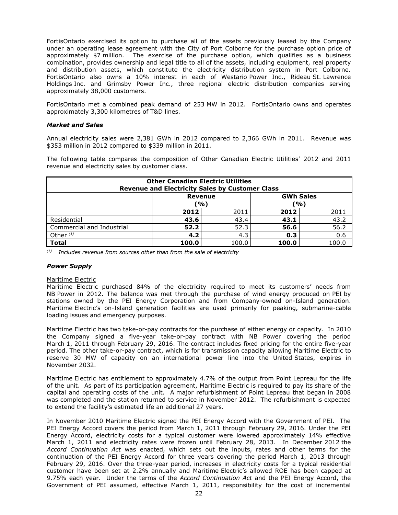FortisOntario exercised its option to purchase all of the assets previously leased by the Company under an operating lease agreement with the City of Port Colborne for the purchase option price of approximately \$7 million. The exercise of the purchase option, which qualifies as a business combination, provides ownership and legal title to all of the assets, including equipment, real property and distribution assets, which constitute the electricity distribution system in Port Colborne. FortisOntario also owns a 10% interest in each of Westario Power Inc., Rideau St. Lawrence Holdings Inc. and Grimsby Power Inc., three regional electric distribution companies serving approximately 38,000 customers.

FortisOntario met a combined peak demand of 253 MW in 2012. FortisOntario owns and operates approximately 3,300 kilometres of T&D lines.

### *Market and Sales*

Annual electricity sales were 2,381 GWh in 2012 compared to 2,366 GWh in 2011. Revenue was \$353 million in 2012 compared to \$339 million in 2011.

The following table compares the composition of Other Canadian Electric Utilities' 2012 and 2011 revenue and electricity sales by customer class.

| <b>Other Canadian Electric Utilities</b><br><b>Revenue and Electricity Sales by Customer Class</b> |       |       |       |       |  |  |  |  |  |  |  |
|----------------------------------------------------------------------------------------------------|-------|-------|-------|-------|--|--|--|--|--|--|--|
| <b>GWh Sales</b><br><b>Revenue</b><br>(%)<br>(%)                                                   |       |       |       |       |  |  |  |  |  |  |  |
|                                                                                                    | 2012  | 2011  |       |       |  |  |  |  |  |  |  |
| Residential                                                                                        | 43.6  | 43.4  | 43.1  | 43.2  |  |  |  |  |  |  |  |
| Commercial and Industrial                                                                          | 52.2  | 52.3  | 56.6  | 56.2  |  |  |  |  |  |  |  |
| Other $(1)$                                                                                        | 4.2   | 4.3   | 0.3   | 0.6   |  |  |  |  |  |  |  |
| <b>Total</b>                                                                                       | 100.0 | 100.0 | 100.0 | 100.0 |  |  |  |  |  |  |  |

*(1) Includes revenue from sources other than from the sale of electricity*

#### *Power Supply*

#### Maritime Electric

Maritime Electric purchased 84% of the electricity required to meet its customers' needs from NB Power in 2012. The balance was met through the purchase of wind energy produced on PEI by stations owned by the PEI Energy Corporation and from Company-owned on-Island generation. Maritime Electric's on-Island generation facilities are used primarily for peaking, submarine-cable loading issues and emergency purposes.

Maritime Electric has two take-or-pay contracts for the purchase of either energy or capacity. In 2010 the Company signed a five-year take-or-pay contract with NB Power covering the period March 1, 2011 through February 29, 2016. The contract includes fixed pricing for the entire five-year period. The other take-or-pay contract, which is for transmission capacity allowing Maritime Electric to reserve 30 MW of capacity on an international power line into the United States, expires in November 2032.

Maritime Electric has entitlement to approximately 4.7% of the output from Point Lepreau for the life of the unit. As part of its participation agreement, Maritime Electric is required to pay its share of the capital and operating costs of the unit. A major refurbishment of Point Lepreau that began in 2008 was completed and the station returned to service in November 2012. The refurbishment is expected to extend the facility's estimated life an additional 27 years.

In November 2010 Maritime Electric signed the PEI Energy Accord with the Government of PEI. The PEI Energy Accord covers the period from March 1, 2011 through February 29, 2016. Under the PEI Energy Accord, electricity costs for a typical customer were lowered approximately 14% effective March 1, 2011 and electricity rates were frozen until February 28, 2013. In December 2012 the *Accord Continuation Act* was enacted, which sets out the inputs, rates and other terms for the continuation of the PEI Energy Accord for three years covering the period March 1, 2013 through February 29, 2016. Over the three-year period, increases in electricity costs for a typical residential customer have been set at 2.2% annually and Maritime Electric's allowed ROE has been capped at 9.75% each year. Under the terms of the *Accord Continuation Act* and the PEI Energy Accord, the Government of PEI assumed, effective March 1, 2011, responsibility for the cost of incremental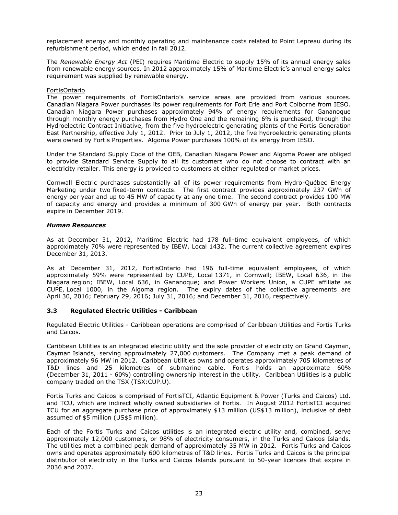replacement energy and monthly operating and maintenance costs related to Point Lepreau during its refurbishment period, which ended in fall 2012.

The *Renewable Energy Act* (PEI) requires Maritime Electric to supply 15% of its annual energy sales from renewable energy sources. In 2012 approximately 15% of Maritime Electric's annual energy sales requirement was supplied by renewable energy.

#### FortisOntario

The power requirements of FortisOntario's service areas are provided from various sources. Canadian Niagara Power purchases its power requirements for Fort Erie and Port Colborne from IESO. Canadian Niagara Power purchases approximately 94% of energy requirements for Gananoque through monthly energy purchases from Hydro One and the remaining 6% is purchased, through the Hydroelectric Contract Initiative, from the five hydroelectric generating plants of the Fortis Generation East Partnership, effective July 1, 2012. Prior to July 1, 2012, the five hydroelectric generating plants were owned by Fortis Properties. Algoma Power purchases 100% of its energy from IESO.

Under the Standard Supply Code of the OEB, Canadian Niagara Power and Algoma Power are obliged to provide Standard Service Supply to all its customers who do not choose to contract with an electricity retailer. This energy is provided to customers at either regulated or market prices.

Cornwall Electric purchases substantially all of its power requirements from Hydro-Québec Energy Marketing under two fixed-term contracts. The first contract provides approximately 237 GWh of energy per year and up to 45 MW of capacity at any one time. The second contract provides 100 MW of capacity and energy and provides a minimum of 300 GWh of energy per year. Both contracts expire in December 2019.

### *Human Resources*

As at December 31, 2012, Maritime Electric had 178 full-time equivalent employees, of which approximately 70% were represented by IBEW, Local 1432. The current collective agreement expires December 31, 2013.

As at December 31, 2012, FortisOntario had 196 full-time equivalent employees, of which approximately 59% were represented by CUPE, Local 1371, in Cornwall; IBEW, Local 636, in the Niagara region; IBEW, Local 636, in Gananoque; and Power Workers Union, a CUPE affiliate as CUPE, Local 1000, in the Algoma region. The expiry dates of the collective agreements are April 30, 2016; February 29, 2016; July 31, 2016; and December 31, 2016, respectively.

## **3.3 Regulated Electric Utilities - Caribbean**

Regulated Electric Utilities - Caribbean operations are comprised of Caribbean Utilities and Fortis Turks and Caicos.

Caribbean Utilities is an integrated electric utility and the sole provider of electricity on Grand Cayman, Cayman Islands, serving approximately 27,000 customers. The Company met a peak demand of approximately 96 MW in 2012. Caribbean Utilities owns and operates approximately 705 kilometres of T&D lines and 25 kilometres of submarine cable. Fortis holds an approximate 60% (December 31, 2011 - 60%) controlling ownership interest in the utility. Caribbean Utilities is a public company traded on the TSX (TSX:CUP.U).

Fortis Turks and Caicos is comprised of FortisTCI, Atlantic Equipment & Power (Turks and Caicos) Ltd. and TCU, which are indirect wholly owned subsidiaries of Fortis. In August 2012 FortisTCI acquired TCU for an aggregate purchase price of approximately \$13 million (US\$13 million), inclusive of debt assumed of \$5 million (US\$5 million).

Each of the Fortis Turks and Caicos utilities is an integrated electric utility and, combined, serve approximately 12,000 customers, or 98% of electricity consumers, in the Turks and Caicos Islands. The utilities met a combined peak demand of approximately 35 MW in 2012. Fortis Turks and Caicos owns and operates approximately 600 kilometres of T&D lines. Fortis Turks and Caicos is the principal distributor of electricity in the Turks and Caicos Islands pursuant to 50-year licences that expire in 2036 and 2037.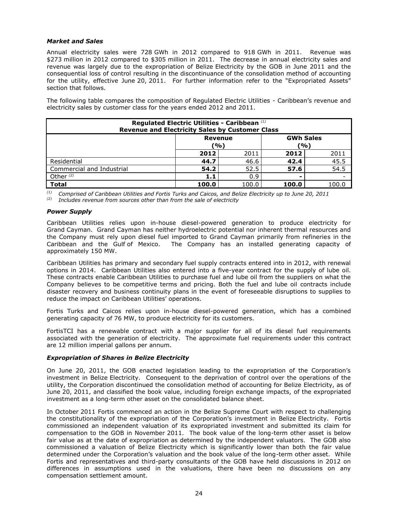## *Market and Sales*

Annual electricity sales were 728 GWh in 2012 compared to 918 GWh in 2011. Revenue was \$273 million in 2012 compared to \$305 million in 2011. The decrease in annual electricity sales and revenue was largely due to the expropriation of Belize Electricity by the GOB in June 2011 and the consequential loss of control resulting in the discontinuance of the consolidation method of accounting for the utility, effective June 20, 2011. For further information refer to the "Expropriated Assets" section that follows.

The following table compares the composition of Regulated Electric Utilities - Caribbean's revenue and electricity sales by customer class for the years ended 2012 and 2011.

| Regulated Electric Utilities - Caribbean (1)<br><b>Revenue and Electricity Sales by Customer Class</b> |                                  |      |      |      |  |  |  |  |
|--------------------------------------------------------------------------------------------------------|----------------------------------|------|------|------|--|--|--|--|
| <b>GWh Sales</b><br><b>Revenue</b><br>(%)<br>(%)                                                       |                                  |      |      |      |  |  |  |  |
| 2011<br>2011<br>2012<br>2012                                                                           |                                  |      |      |      |  |  |  |  |
| Residential                                                                                            | 44.7                             | 46.6 | 42.4 | 45.5 |  |  |  |  |
| Commercial and Industrial                                                                              | 54.2                             | 52.5 | 57.6 | 54.5 |  |  |  |  |
| Other $(2)$                                                                                            | 1.1                              | 0.9  | -    |      |  |  |  |  |
| <b>Total</b>                                                                                           | 100.0<br>100.0<br>100.0<br>100.0 |      |      |      |  |  |  |  |

*(1) Comprised of Caribbean Utilities and Fortis Turks and Caicos, and Belize Electricity up to June 20, 2011 (2) Includes revenue from sources other than from the sale of electricity*

### *Power Supply*

Caribbean Utilities relies upon in-house diesel-powered generation to produce electricity for Grand Cayman. Grand Cayman has neither hydroelectric potential nor inherent thermal resources and the Company must rely upon diesel fuel imported to Grand Cayman primarily from refineries in the Caribbean and the Gulf of Mexico. The Company has an installed generating capacity of approximately 150 MW.

Caribbean Utilities has primary and secondary fuel supply contracts entered into in 2012, with renewal options in 2014. Caribbean Utilities also entered into a five-year contract for the supply of lube oil. These contracts enable Caribbean Utilities to purchase fuel and lube oil from the suppliers on what the Company believes to be competitive terms and pricing. Both the fuel and lube oil contracts include disaster recovery and business continuity plans in the event of foreseeable disruptions to supplies to reduce the impact on Caribbean Utilities' operations.

Fortis Turks and Caicos relies upon in-house diesel-powered generation, which has a combined generating capacity of 76 MW, to produce electricity for its customers.

FortisTCI has a renewable contract with a major supplier for all of its diesel fuel requirements associated with the generation of electricity. The approximate fuel requirements under this contract are 12 million imperial gallons per annum.

## *Expropriation of Shares in Belize Electricity*

On June 20, 2011, the GOB enacted legislation leading to the expropriation of the Corporation's investment in Belize Electricity. Consequent to the deprivation of control over the operations of the utility, the Corporation discontinued the consolidation method of accounting for Belize Electricity, as of June 20, 2011, and classified the book value, including foreign exchange impacts, of the expropriated investment as a long-term other asset on the consolidated balance sheet.

In October 2011 Fortis commenced an action in the Belize Supreme Court with respect to challenging the constitutionality of the expropriation of the Corporation's investment in Belize Electricity. Fortis commissioned an independent valuation of its expropriated investment and submitted its claim for compensation to the GOB in November 2011. The book value of the long-term other asset is below fair value as at the date of expropriation as determined by the independent valuators. The GOB also commissioned a valuation of Belize Electricity which is significantly lower than both the fair value determined under the Corporation's valuation and the book value of the long-term other asset. While Fortis and representatives and third-party consultants of the GOB have held discussions in 2012 on differences in assumptions used in the valuations, there have been no discussions on any compensation settlement amount.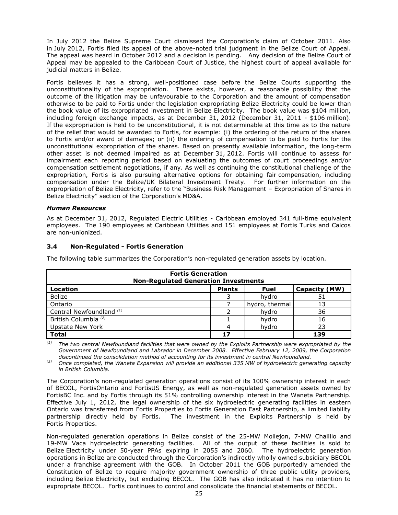In July 2012 the Belize Supreme Court dismissed the Corporation's claim of October 2011. Also in July 2012, Fortis filed its appeal of the above-noted trial judgment in the Belize Court of Appeal. The appeal was heard in October 2012 and a decision is pending. Any decision of the Belize Court of Appeal may be appealed to the Caribbean Court of Justice, the highest court of appeal available for judicial matters in Belize.

Fortis believes it has a strong, well-positioned case before the Belize Courts supporting the unconstitutionality of the expropriation. There exists, however, a reasonable possibility that the outcome of the litigation may be unfavourable to the Corporation and the amount of compensation otherwise to be paid to Fortis under the legislation expropriating Belize Electricity could be lower than the book value of its expropriated investment in Belize Electricity. The book value was \$104 million, including foreign exchange impacts, as at December 31, 2012 (December 31, 2011 - \$106 million). If the expropriation is held to be unconstitutional, it is not determinable at this time as to the nature of the relief that would be awarded to Fortis, for example: (i) the ordering of the return of the shares to Fortis and/or award of damages; or (ii) the ordering of compensation to be paid to Fortis for the unconstitutional expropriation of the shares. Based on presently available information, the long-term other asset is not deemed impaired as at December 31, 2012. Fortis will continue to assess for impairment each reporting period based on evaluating the outcomes of court proceedings and/or compensation settlement negotiations, if any. As well as continuing the constitutional challenge of the expropriation, Fortis is also pursuing alternative options for obtaining fair compensation, including compensation under the Belize/UK Bilateral Investment Treaty. For further information on the expropriation of Belize Electricity, refer to the "Business Risk Management – Expropriation of Shares in Belize Electricity" section of the Corporation's MD&A.

### *Human Resources*

As at December 31, 2012, Regulated Electric Utilities - Caribbean employed 341 full-time equivalent employees. The 190 employees at Caribbean Utilities and 151 employees at Fortis Turks and Caicos are non-unionized.

### **3.4 Non-Regulated - Fortis Generation**

The following table summarizes the Corporation's non-regulated generation assets by location.

| <b>Fortis Generation</b><br><b>Non-Regulated Generation Investments</b> |               |                |               |  |  |
|-------------------------------------------------------------------------|---------------|----------------|---------------|--|--|
| <b>Location</b>                                                         | <b>Plants</b> | Fuel           | Capacity (MW) |  |  |
| <b>Belize</b>                                                           |               | hydro          |               |  |  |
| Ontario                                                                 |               | hydro, thermal | 13            |  |  |
| Central Newfoundland <sup>(1)</sup>                                     |               | hydro          | 36            |  |  |
| British Columbia <sup>(2)</sup>                                         |               | hydro          | 16            |  |  |
| <b>Upstate New York</b><br>hydro<br>23<br>4                             |               |                |               |  |  |
| <b>Total</b>                                                            | 17            |                | 139           |  |  |

*(1) The two central Newfoundland facilities that were owned by the Exploits Partnership were expropriated by the Government of Newfoundland and Labrador in December 2008. Effective February 12, 2009, the Corporation discontinued the consolidation method of accounting for its investment in central Newfoundland.*

*(2) Once completed, the Waneta Expansion will provide an additional 335 MW of hydroelectric generating capacity in British Columbia.*

The Corporation's non-regulated generation operations consist of its 100% ownership interest in each of BECOL, FortisOntario and FortisUS Energy, as well as non-regulated generation assets owned by FortisBC Inc. and by Fortis through its 51% controlling ownership interest in the Waneta Partnership. Effective July 1, 2012, the legal ownership of the six hydroelectric generating facilities in eastern Ontario was transferred from Fortis Properties to Fortis Generation East Partnership, a limited liability partnership directly held by Fortis. The investment in the Exploits Partnership is held by Fortis Properties.

Non-regulated generation operations in Belize consist of the 25-MW Mollejon, 7-MW Chalillo and 19-MW Vaca hydroelectric generating facilities. All of the output of these facilities is sold to Belize Electricity under 50-year PPAs expiring in 2055 and 2060. The hydroelectric generation operations in Belize are conducted through the Corporation's indirectly wholly owned subsidiary BECOL under a franchise agreement with the GOB. In October 2011 the GOB purportedly amended the Constitution of Belize to require majority government ownership of three public utility providers, including Belize Electricity, but excluding BECOL. The GOB has also indicated it has no intention to expropriate BECOL. Fortis continues to control and consolidate the financial statements of BECOL.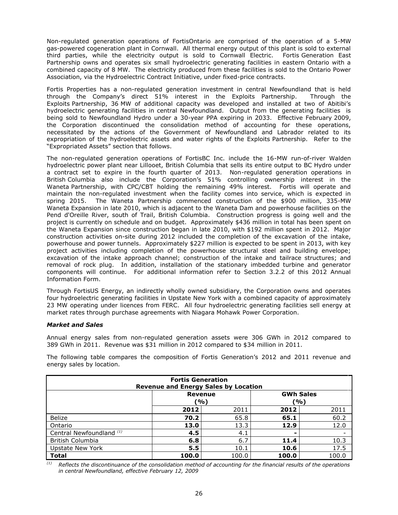Non-regulated generation operations of FortisOntario are comprised of the operation of a 5-MW gas-powered cogeneration plant in Cornwall. All thermal energy output of this plant is sold to external third parties, while the electricity output is sold to Cornwall Electric. Fortis Generation East Partnership owns and operates six small hydroelectric generating facilities in eastern Ontario with a combined capacity of 8 MW. The electricity produced from these facilities is sold to the Ontario Power Association, via the Hydroelectric Contract Initiative, under fixed-price contracts.

Fortis Properties has a non-regulated generation investment in central Newfoundland that is held through the Company's direct 51% interest in the Exploits Partnership. Through the Exploits Partnership, 36 MW of additional capacity was developed and installed at two of Abitibi's hydroelectric generating facilities in central Newfoundland. Output from the generating facilities is being sold to Newfoundland Hydro under a 30-year PPA expiring in 2033. Effective February 2009, the Corporation discontinued the consolidation method of accounting for these operations, necessitated by the actions of the Government of Newfoundland and Labrador related to its expropriation of the hydroelectric assets and water rights of the Exploits Partnership. Refer to the "Expropriated Assets" section that follows.

The non-regulated generation operations of FortisBC Inc. include the 16-MW run-of-river Walden hydroelectric power plant near Lillooet, British Columbia that sells its entire output to BC Hydro under a contract set to expire in the fourth quarter of 2013. Non-regulated generation operations in British Columbia also include the Corporation's 51% controlling ownership interest in the Waneta Partnership, with CPC/CBT holding the remaining 49% interest. Fortis will operate and maintain the non-regulated investment when the facility comes into service, which is expected in spring 2015. The Waneta Partnership commenced construction of the \$900 million, 335-MW Waneta Expansion in late 2010, which is adjacent to the Waneta Dam and powerhouse facilities on the Pend d'Oreille River, south of Trail, British Columbia. Construction progress is going well and the project is currently on schedule and on budget. Approximately \$436 million in total has been spent on the Waneta Expansion since construction began in late 2010, with \$192 million spent in 2012. Major construction activities on-site during 2012 included the completion of the excavation of the intake, powerhouse and power tunnels. Approximately \$227 million is expected to be spent in 2013, with key project activities including completion of the powerhouse structural steel and building envelope; excavation of the intake approach channel; construction of the intake and tailrace structures; and removal of rock plug. In addition, installation of the stationary imbedded turbine and generator components will continue. For additional information refer to Section 3.2.2 of this 2012 Annual Information Form.

Through FortisUS Energy, an indirectly wholly owned subsidiary, the Corporation owns and operates four hydroelectric generating facilities in Upstate New York with a combined capacity of approximately 23 MW operating under licences from FERC. All four hydroelectric generating facilities sell energy at market rates through purchase agreements with Niagara Mohawk Power Corporation.

## *Market and Sales*

Annual energy sales from non-regulated generation assets were 306 GWh in 2012 compared to 389 GWh in 2011. Revenue was \$31 million in 2012 compared to \$34 million in 2011.

The following table compares the composition of Fortis Generation's 2012 and 2011 revenue and energy sales by location.

| <b>Fortis Generation</b><br><b>Revenue and Energy Sales by Location</b> |       |                |                  |                          |
|-------------------------------------------------------------------------|-------|----------------|------------------|--------------------------|
|                                                                         |       | <b>Revenue</b> | <b>GWh Sales</b> |                          |
|                                                                         |       | (%)            | (%)              |                          |
|                                                                         | 2012  | 2011           | 2012             | 2011                     |
| <b>Belize</b>                                                           | 70.2  | 65.8           | 65.1             | 60.2                     |
| Ontario                                                                 | 13.0  | 13.3           | 12.9             | 12.0                     |
| Central Newfoundland <sup>(1)</sup>                                     | 4.5   | 4.1            | ۰                | $\overline{\phantom{0}}$ |
| British Columbia                                                        | 6.8   | 6.7            | 11.4             | 10.3                     |
| <b>Upstate New York</b>                                                 | 5.5   | 10.1           | 10.6             | 17.5                     |
| <b>Total</b>                                                            | 100.0 | 100.0          | 100.0            | 100.0                    |

*(1) Reflects the discontinuance of the consolidation method of accounting for the financial results of the operations in central Newfoundland, effective February 12, 2009*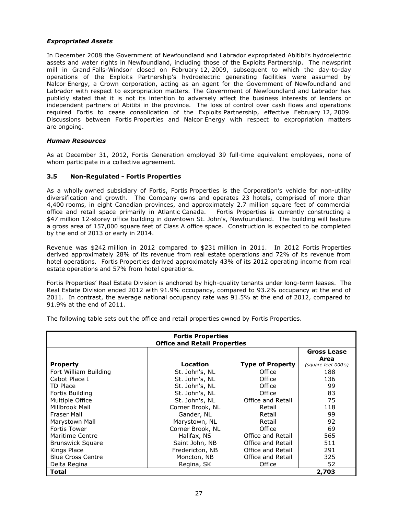## *Expropriated Assets*

In December 2008 the Government of Newfoundland and Labrador expropriated Abitibi's hydroelectric assets and water rights in Newfoundland, including those of the Exploits Partnership. The newsprint mill in Grand Falls-Windsor closed on February 12, 2009, subsequent to which the day-to-day operations of the Exploits Partnership's hydroelectric generating facilities were assumed by Nalcor Energy, a Crown corporation, acting as an agent for the Government of Newfoundland and Labrador with respect to expropriation matters. The Government of Newfoundland and Labrador has publicly stated that it is not its intention to adversely affect the business interests of lenders or independent partners of Abitibi in the province. The loss of control over cash flows and operations required Fortis to cease consolidation of the Exploits Partnership, effective February 12, 2009. Discussions between Fortis Properties and Nalcor Energy with respect to expropriation matters are ongoing.

## *Human Resources*

As at December 31, 2012, Fortis Generation employed 39 full-time equivalent employees, none of whom participate in a collective agreement.

## **3.5 Non-Regulated - Fortis Properties**

As a wholly owned subsidiary of Fortis, Fortis Properties is the Corporation's vehicle for non-utility diversification and growth. The Company owns and operates 23 hotels, comprised of more than 4,400 rooms, in eight Canadian provinces, and approximately 2.7 million square feet of commercial office and retail space primarily in Atlantic Canada. Fortis Properties is currently constructing a \$47 million 12-storey office building in downtown St. John's, Newfoundland. The building will feature a gross area of 157,000 square feet of Class A office space. Construction is expected to be completed by the end of 2013 or early in 2014.

Revenue was \$242 million in 2012 compared to \$231 million in 2011. In 2012 Fortis Properties derived approximately 28% of its revenue from real estate operations and 72% of its revenue from hotel operations. Fortis Properties derived approximately 43% of its 2012 operating income from real estate operations and 57% from hotel operations.

Fortis Properties' Real Estate Division is anchored by high-quality tenants under long-term leases. The Real Estate Division ended 2012 with 91.9% occupancy, compared to 93.2% occupancy at the end of 2011. In contrast, the average national occupancy rate was 91.5% at the end of 2012, compared to 91.9% at the end of 2011.

The following table sets out the office and retail properties owned by Fortis Properties.

|                          | <b>Fortis Properties</b><br><b>Office and Retail Properties</b> |                         |                                                   |
|--------------------------|-----------------------------------------------------------------|-------------------------|---------------------------------------------------|
| <b>Property</b>          | Location                                                        | <b>Type of Property</b> | <b>Gross Lease</b><br>Area<br>(square feet 000's) |
| Fort William Building    | St. John's, NL                                                  | Office                  | 188                                               |
| Cabot Place I            | St. John's, NL                                                  | Office                  | 136                                               |
| TD Place                 | St. John's, NL                                                  | Office                  | 99                                                |
| Fortis Building          | St. John's, NL                                                  | Office                  | 83                                                |
| Multiple Office          | St. John's, NL                                                  | Office and Retail       | 75                                                |
| Millbrook Mall           | Corner Brook, NL                                                | Retail                  | 118                                               |
| <b>Fraser Mall</b>       | Gander, NL                                                      | Retail                  | 99                                                |
| Marystown Mall           | Marystown, NL                                                   | Retail                  | 92                                                |
| <b>Fortis Tower</b>      | Corner Brook, NL                                                | Office                  | 69                                                |
| Maritime Centre          | Halifax, NS                                                     | Office and Retail       | 565                                               |
| <b>Brunswick Square</b>  | Saint John, NB                                                  | Office and Retail       | 511                                               |
| Kings Place              | Fredericton, NB                                                 | Office and Retail       | 291                                               |
| <b>Blue Cross Centre</b> | Moncton, NB                                                     | Office and Retail       | 325                                               |
| Delta Regina             | Regina, SK                                                      | Office                  | 52                                                |
| Total                    |                                                                 |                         | 2,703                                             |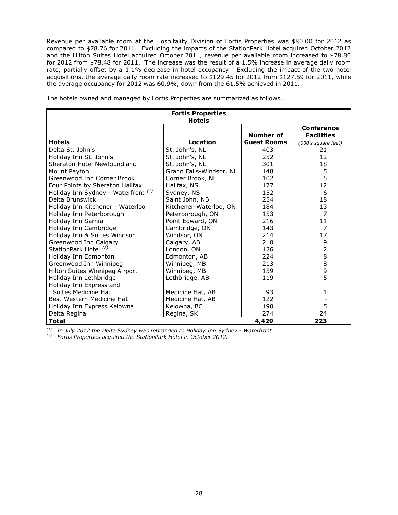Revenue per available room at the Hospitality Division of Fortis Properties was \$80.00 for 2012 as compared to \$78.76 for 2011. Excluding the impacts of the StationPark Hotel acquired October 2012 and the Hilton Suites Hotel acquired October 2011, revenue per available room increased to \$78.80 for 2012 from \$78.48 for 2011. The increase was the result of a 1.5% increase in average daily room rate, partially offset by a 1.1% decrease in hotel occupancy. Excluding the impact of the two hotel acquisitions, the average daily room rate increased to \$129.45 for 2012 from \$127.59 for 2011, while the average occupancy for 2012 was 60.9%, down from the 61.5% achieved in 2011.

|                                     | <b>Fortis Properties</b><br><b>Hotels</b> |                                        |                                                               |
|-------------------------------------|-------------------------------------------|----------------------------------------|---------------------------------------------------------------|
| <b>Hotels</b>                       | <b>Location</b>                           | <b>Number of</b><br><b>Guest Rooms</b> | <b>Conference</b><br><b>Facilities</b><br>(000's square feet) |
| Delta St. John's                    | St. John's, NL                            | 403                                    | 21                                                            |
| Holiday Inn St. John's              | St. John's, NL                            | 252                                    | 12                                                            |
| Sheraton Hotel Newfoundland         | St. John's, NL                            | 301                                    | 18                                                            |
| Mount Peyton                        | Grand Falls-Windsor, NL                   | 148                                    |                                                               |
| Greenwood Inn Corner Brook          | Corner Brook, NL                          | 102                                    | $\frac{5}{5}$                                                 |
| Four Points by Sheraton Halifax     | Halifax, NS                               | 177                                    | 12                                                            |
| Holiday Inn Sydney - Waterfront (1) | Sydney, NS                                | 152                                    | 6                                                             |
| Delta Brunswick                     | Saint John, NB                            | 254                                    | 18                                                            |
| Holiday Inn Kitchener - Waterloo    | Kitchener-Waterloo, ON                    | 184                                    | 13                                                            |
| Holiday Inn Peterborough            | Peterborough, ON                          | 153                                    | 7                                                             |
| Holiday Inn Sarnia                  | Point Edward, ON                          | 216                                    | 11                                                            |
| Holiday Inn Cambridge               | Cambridge, ON                             | 143                                    | 7                                                             |
| Holiday Inn & Suites Windsor        | Windsor, ON                               | 214                                    | 17                                                            |
| Greenwood Inn Calgary               | Calgary, AB                               | 210                                    | 9                                                             |
| StationPark Hotel <sup>(2)</sup>    | London, ON                                | 126                                    | $\mathbf 2$                                                   |
| Holiday Inn Edmonton                | Edmonton, AB                              | 224                                    | 8                                                             |
| Greenwood Inn Winnipeg              | Winnipeg, MB                              | 213                                    | 8                                                             |
| Hilton Suites Winnipeg Airport      | Winnipeg, MB                              | 159                                    | 9                                                             |
| Holiday Inn Lethbridge              | Lethbridge, AB                            | 119                                    | 5                                                             |
| Holiday Inn Express and             |                                           |                                        |                                                               |
| Suites Medicine Hat                 | Medicine Hat, AB                          | 93                                     | 1                                                             |
| Best Western Medicine Hat           | Medicine Hat, AB                          | 122                                    |                                                               |
| Holiday Inn Express Kelowna         | Kelowna, BC                               | 190                                    | 5                                                             |
| Delta Regina                        | Regina, SK                                | 274                                    | 24                                                            |
| <b>Total</b>                        |                                           | 4,429                                  | 223                                                           |

The hotels owned and managed by Fortis Properties are summarized as follows.

*(1) In July 2012 the Delta Sydney was rebranded to Holiday Inn Sydney - Waterfront.* 

*(2) Fortis Properties acquired the StationPark Hotel in October 2012.*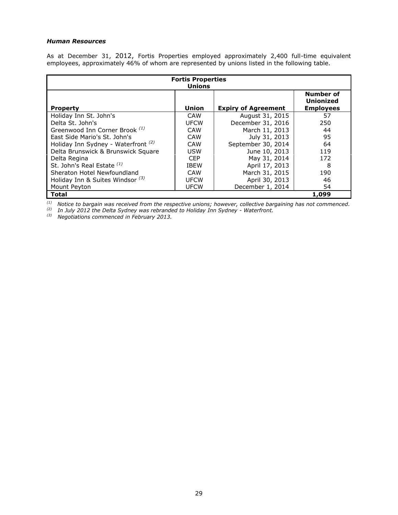#### *Human Resources*

As at December 31, 2012, Fortis Properties employed approximately 2,400 full-time equivalent employees, approximately 46% of whom are represented by unions listed in the following table.

|                                     | <b>Fortis Properties</b><br>Unions |                            |                                      |
|-------------------------------------|------------------------------------|----------------------------|--------------------------------------|
|                                     |                                    |                            | <b>Number of</b><br><b>Unionized</b> |
| <b>Property</b>                     | <b>Union</b>                       | <b>Expiry of Agreement</b> | <b>Employees</b>                     |
| Holiday Inn St. John's              | <b>CAW</b>                         | August 31, 2015            | 57                                   |
| Delta St. John's                    | <b>UFCW</b>                        | December 31, 2016          | 250                                  |
| Greenwood Inn Corner Brook (1)      | <b>CAW</b>                         | March 11, 2013             | 44                                   |
| East Side Mario's St. John's        | CAW                                | July 31, 2013              | 95                                   |
| Holiday Inn Sydney - Waterfront (2) | <b>CAW</b>                         | September 30, 2014         | 64                                   |
| Delta Brunswick & Brunswick Square  | <b>USW</b>                         | June 10, 2013              | 119                                  |
| Delta Regina                        | <b>CFP</b>                         | May 31, 2014               | 172                                  |
| St. John's Real Estate (1)          | <b>IBEW</b>                        | April 17, 2013             | 8                                    |
| Sheraton Hotel Newfoundland         | CAW                                | March 31, 2015             | 190                                  |
| Holiday Inn & Suites Windsor (3)    | <b>UFCW</b>                        | April 30, 2013             | 46                                   |
| Mount Peyton                        | <b>UFCW</b>                        | December 1, 2014           | 54                                   |
| <b>Total</b>                        |                                    |                            | 1,099                                |

*(1) Notice to bargain was received from the respective unions; however, collective bargaining has not commenced.*

*(2) In July 2012 the Delta Sydney was rebranded to Holiday Inn Sydney - Waterfront.* 

*(3) Negotiations commenced in February 2013.*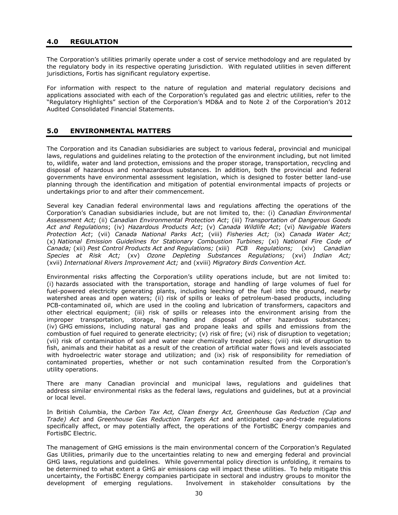## **4.0 REGULATION**

The Corporation's utilities primarily operate under a cost of service methodology and are regulated by the regulatory body in its respective operating jurisdiction. With regulated utilities in seven different jurisdictions, Fortis has significant regulatory expertise.

For information with respect to the nature of regulation and material regulatory decisions and applications associated with each of the Corporation's regulated gas and electric utilities, refer to the "Regulatory Highlights" section of the Corporation's MD&A and to Note 2 of the Corporation's 2012 Audited Consolidated Financial Statements.

## **5.0 ENVIRONMENTAL MATTERS**

The Corporation and its Canadian subsidiaries are subject to various federal, provincial and municipal laws, regulations and guidelines relating to the protection of the environment including, but not limited to, wildlife, water and land protection, emissions and the proper storage, transportation, recycling and disposal of hazardous and nonhazardous substances. In addition, both the provincial and federal governments have environmental assessment legislation, which is designed to foster better land-use planning through the identification and mitigation of potential environmental impacts of projects or undertakings prior to and after their commencement.

Several key Canadian federal environmental laws and regulations affecting the operations of the Corporation's Canadian subsidiaries include, but are not limited to, the: (i) *Canadian Environmental Assessment Act;* (ii) *Canadian Environmental Protection Act*; (iii) *Transportation of Dangerous Goods Act and Regulations*; (iv) *Hazardous Products Act*; (v) *Canada Wildlife Act*; (vi) *Navigable Waters Protection Act*; (vii) *Canada National Parks Act*; (viii) *Fisheries Act;* (ix) *Canada Water Act;*  (x) *National Emission Guidelines for Stationary Combustion Turbines;* (xi) *National Fire Code of Canada;* (xii) *Pest Control Products Act and Regulations;* (xiii) *PCB Regulations;* (xiv) *Canadian Species at Risk Act;* (xv) *Ozone Depleting Substances Regulations;* (xvi) *Indian Act;*  (xvii) *International Rivers Improvement Act;* and (xviii) *Migratory Birds Convention Act.*

Environmental risks affecting the Corporation's utility operations include, but are not limited to: (i) hazards associated with the transportation, storage and handling of large volumes of fuel for fuel-powered electricity generating plants, including leeching of the fuel into the ground, nearby watershed areas and open waters; (ii) risk of spills or leaks of petroleum-based products, including PCB-contaminated oil, which are used in the cooling and lubrication of transformers, capacitors and other electrical equipment; (iii) risk of spills or releases into the environment arising from the improper transportation, storage, handling and disposal of other hazardous substances; (iv) GHG emissions, including natural gas and propane leaks and spills and emissions from the combustion of fuel required to generate electricity; (v) risk of fire; (vi) risk of disruption to vegetation; (vii) risk of contamination of soil and water near chemically treated poles; (viii) risk of disruption to fish, animals and their habitat as a result of the creation of artificial water flows and levels associated with hydroelectric water storage and utilization; and (ix) risk of responsibility for remediation of contaminated properties, whether or not such contamination resulted from the Corporation's utility operations.

There are many Canadian provincial and municipal laws, regulations and guidelines that address similar environmental risks as the federal laws, regulations and guidelines, but at a provincial or local level.

In British Columbia, the *Carbon Tax Act, Clean Energy Act, Greenhouse Gas Reduction (Cap and Trade) Act* and *Greenhouse Gas Reduction Targets Act* and anticipated cap-and-trade regulations specifically affect, or may potentially affect, the operations of the FortisBC Energy companies and FortisBC Electric.

The management of GHG emissions is the main environmental concern of the Corporation's Regulated Gas Utilities, primarily due to the uncertainties relating to new and emerging federal and provincial GHG laws, regulations and guidelines. While governmental policy direction is unfolding, it remains to be determined to what extent a GHG air emissions cap will impact these utilities. To help mitigate this uncertainty, the FortisBC Energy companies participate in sectoral and industry groups to monitor the development of emerging regulations. Involvement in stakeholder consultations by the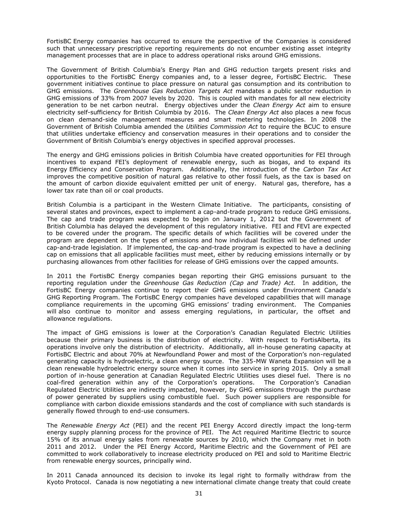FortisBC Energy companies has occurred to ensure the perspective of the Companies is considered such that unnecessary prescriptive reporting requirements do not encumber existing asset integrity management processes that are in place to address operational risks around GHG emissions.

The Government of British Columbia's Energy Plan and GHG reduction targets present risks and opportunities to the FortisBC Energy companies and, to a lesser degree, FortisBC Electric. These government initiatives continue to place pressure on natural gas consumption and its contribution to GHG emissions. The *Greenhouse Gas Reduction Targets Act* mandates a public sector reduction in GHG emissions of 33% from 2007 levels by 2020. This is coupled with mandates for all new electricity generation to be net carbon neutral. Energy objectives under the *Clean Energy Act* aim to ensure electricity self-sufficiency for British Columbia by 2016. The *Clean Energy Act* also places a new focus on clean demand-side management measures and smart metering technologies. In 2008 the Government of British Columbia amended the *Utilities Commission Act* to require the BCUC to ensure that utilities undertake efficiency and conservation measures in their operations and to consider the Government of British Columbia's energy objectives in specified approval processes.

The energy and GHG emissions policies in British Columbia have created opportunities for FEI through incentives to expand FEI's deployment of renewable energy, such as biogas, and to expand its Energy Efficiency and Conservation Program. Additionally, the introduction of the *Carbon Tax Act* improves the competitive position of natural gas relative to other fossil fuels, as the tax is based on the amount of carbon dioxide equivalent emitted per unit of energy. Natural gas, therefore, has a lower tax rate than oil or coal products.

British Columbia is a participant in the Western Climate Initiative. The participants, consisting of several states and provinces, expect to implement a cap-and-trade program to reduce GHG emissions. The cap and trade program was expected to begin on January 1, 2012 but the Government of British Columbia has delayed the development of this regulatory initiative. FEI and FEVI are expected to be covered under the program. The specific details of which facilities will be covered under the program are dependent on the types of emissions and how individual facilities will be defined under cap-and-trade legislation. If implemented, the cap-and-trade program is expected to have a declining cap on emissions that all applicable facilities must meet, either by reducing emissions internally or by purchasing allowances from other facilities for release of GHG emissions over the capped amounts.

In 2011 the FortisBC Energy companies began reporting their GHG emissions pursuant to the reporting regulation under the *Greenhouse Gas Reduction (Cap and Trade) Act.* In addition, the FortisBC Energy companies continue to report their GHG emissions under Environment Canada's GHG Reporting Program. The FortisBC Energy companies have developed capabilities that will manage compliance requirements in the upcoming GHG emissions' trading environment. The Companies will also continue to monitor and assess emerging regulations, in particular, the offset and allowance regulations.

The impact of GHG emissions is lower at the Corporation's Canadian Regulated Electric Utilities because their primary business is the distribution of electricity. With respect to FortisAlberta, its operations involve only the distribution of electricity. Additionally, all in-house generating capacity at FortisBC Electric and about 70% at Newfoundland Power and most of the Corporation's non-regulated generating capacity is hydroelectric, a clean energy source. The 335-MW Waneta Expansion will be a clean renewable hydroelectric energy source when it comes into service in spring 2015. Only a small portion of in-house generation at Canadian Regulated Electric Utilities uses diesel fuel. There is no coal-fired generation within any of the Corporation's operations. The Corporation's Canadian Regulated Electric Utilities are indirectly impacted, however, by GHG emissions through the purchase of power generated by suppliers using combustible fuel. Such power suppliers are responsible for compliance with carbon dioxide emissions standards and the cost of compliance with such standards is generally flowed through to end-use consumers.

The *Renewable Energy Act* (PEI) and the recent PEI Energy Accord directly impact the long-term energy supply planning process for the province of PEI. The Act required Maritime Electric to source 15% of its annual energy sales from renewable sources by 2010, which the Company met in both 2011 and 2012. Under the PEI Energy Accord, Maritime Electric and the Government of PEI are committed to work collaboratively to increase electricity produced on PEI and sold to Maritime Electric from renewable energy sources, principally wind.

In 2011 Canada announced its decision to invoke its legal right to formally withdraw from the Kyoto Protocol. Canada is now negotiating a new international climate change treaty that could create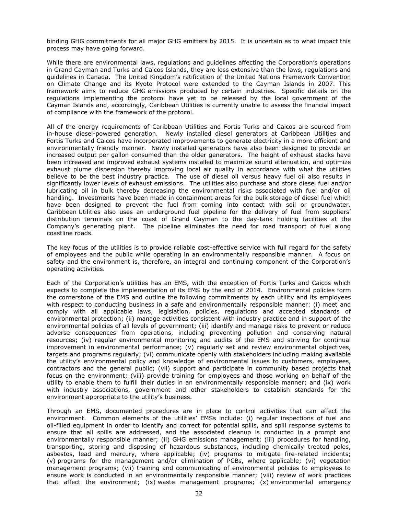binding GHG commitments for all major GHG emitters by 2015. It is uncertain as to what impact this process may have going forward.

While there are environmental laws, regulations and guidelines affecting the Corporation's operations in Grand Cayman and Turks and Caicos Islands, they are less extensive than the laws, regulations and guidelines in Canada. The United Kingdom's ratification of the United Nations Framework Convention on Climate Change and its Kyoto Protocol were extended to the Cayman Islands in 2007. This framework aims to reduce GHG emissions produced by certain industries. Specific details on the regulations implementing the protocol have yet to be released by the local government of the Cayman Islands and, accordingly, Caribbean Utilities is currently unable to assess the financial impact of compliance with the framework of the protocol.

All of the energy requirements of Caribbean Utilities and Fortis Turks and Caicos are sourced from in-house diesel-powered generation. Newly installed diesel generators at Caribbean Utilities and Fortis Turks and Caicos have incorporated improvements to generate electricity in a more efficient and environmentally friendly manner. Newly installed generators have also been designed to provide an increased output per gallon consumed than the older generators. The height of exhaust stacks have been increased and improved exhaust systems installed to maximize sound attenuation, and optimize exhaust plume dispersion thereby improving local air quality in accordance with what the utilities believe to be the best industry practice. The use of diesel oil versus heavy fuel oil also results in significantly lower levels of exhaust emissions. The utilities also purchase and store diesel fuel and/or lubricating oil in bulk thereby decreasing the environmental risks associated with fuel and/or oil handling. Investments have been made in containment areas for the bulk storage of diesel fuel which have been designed to prevent the fuel from coming into contact with soil or groundwater. Caribbean Utilities also uses an underground fuel pipeline for the delivery of fuel from suppliers' distribution terminals on the coast of Grand Cayman to the day-tank holding facilities at the Company's generating plant. The pipeline eliminates the need for road transport of fuel along coastline roads.

The key focus of the utilities is to provide reliable cost-effective service with full regard for the safety of employees and the public while operating in an environmentally responsible manner. A focus on safety and the environment is, therefore, an integral and continuing component of the Corporation's operating activities.

Each of the Corporation's utilities has an EMS, with the exception of Fortis Turks and Caicos which expects to complete the implementation of its EMS by the end of 2014. Environmental policies form the cornerstone of the EMS and outline the following commitments by each utility and its employees with respect to conducting business in a safe and environmentally responsible manner: (i) meet and comply with all applicable laws, legislation, policies, regulations and accepted standards of environmental protection; (ii) manage activities consistent with industry practice and in support of the environmental policies of all levels of government; (iii) identify and manage risks to prevent or reduce adverse consequences from operations, including preventing pollution and conserving natural resources; (iv) regular environmental monitoring and audits of the EMS and striving for continual improvement in environmental performance; (v) regularly set and review environmental objectives, targets and programs regularly; (vi) communicate openly with stakeholders including making available the utility's environmental policy and knowledge of environmental issues to customers, employees, contractors and the general public; (vii) support and participate in community based projects that focus on the environment; (viii) provide training for employees and those working on behalf of the utility to enable them to fulfill their duties in an environmentally responsible manner; and (ix) work with industry associations, government and other stakeholders to establish standards for the environment appropriate to the utility's business.

Through an EMS, documented procedures are in place to control activities that can affect the environment. Common elements of the utilities' EMSs include: (i) regular inspections of fuel and oil-filled equipment in order to identify and correct for potential spills, and spill response systems to ensure that all spills are addressed, and the associated cleanup is conducted in a prompt and environmentally responsible manner; (ii) GHG emissions management; (iii) procedures for handling, transporting, storing and disposing of hazardous substances, including chemically treated poles, asbestos, lead and mercury, where applicable; (iv) programs to mitigate fire-related incidents; (v) programs for the management and/or elimination of PCBs, where applicable; (vi) vegetation management programs; (vii) training and communicating of environmental policies to employees to ensure work is conducted in an environmentally responsible manner; (viii) review of work practices that affect the environment; (ix) waste management programs; (x) environmental emergency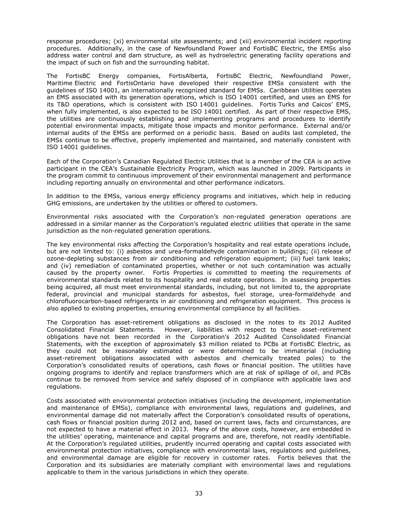response procedures; (xi) environmental site assessments; and (xii) environmental incident reporting procedures. Additionally, in the case of Newfoundland Power and FortisBC Electric, the EMSs also address water control and dam structure, as well as hydroelectric generating facility operations and the impact of such on fish and the surrounding habitat.

The FortisBC Energy companies, FortisAlberta, FortisBC Electric, Newfoundland Power, Maritime Electric and FortisOntario have developed their respective EMSs consistent with the guidelines of ISO 14001, an internationally recognized standard for EMSs. Caribbean Utilities operates an EMS associated with its generation operations, which is ISO 14001 certified, and uses an EMS for its T&D operations, which is consistent with ISO 14001 guidelines. Fortis Turks and Caicos' EMS, when fully implemented, is also expected to be ISO 14001 certified*.* As part of their respective EMS, the utilities are continuously establishing and implementing programs and procedures to identify potential environmental impacts, mitigate those impacts and monitor performance. External and/or internal audits of the EMSs are performed on a periodic basis. Based on audits last completed, the EMSs continue to be effective, properly implemented and maintained, and materially consistent with ISO 14001 guidelines.

Each of the Corporation's Canadian Regulated Electric Utilities that is a member of the CEA is an active participant in the CEA's Sustainable Electricity Program, which was launched in 2009. Participants in the program commit to continuous improvement of their environmental management and performance including reporting annually on environmental and other performance indicators.

In addition to the EMSs, various energy efficiency programs and initiatives, which help in reducing GHG emissions, are undertaken by the utilities or offered to customers.

Environmental risks associated with the Corporation's non-regulated generation operations are addressed in a similar manner as the Corporation's regulated electric utilities that operate in the same jurisdiction as the non-regulated generation operations.

The key environmental risks affecting the Corporation's hospitality and real estate operations include, but are not limited to: (i) asbestos and urea-formaldehyde contamination in buildings; (ii) release of ozone-depleting substances from air conditioning and refrigeration equipment; (iii) fuel tank leaks; and (iv) remediation of contaminated properties, whether or not such contamination was actually caused by the property owner. Fortis Properties is committed to meeting the requirements of environmental standards related to its hospitality and real estate operations. In assessing properties being acquired, all must meet environmental standards, including, but not limited to, the appropriate federal, provincial and municipal standards for asbestos, fuel storage, urea-formaldehyde and chlorofluorocarbon-based refrigerants in air conditioning and refrigeration equipment. This process is also applied to existing properties, ensuring environmental compliance by all facilities.

The Corporation has asset-retirement obligations as disclosed in the notes to its 2012 Audited Consolidated Financial Statements. However, liabilities with respect to these asset-retirement obligations have not been recorded in the Corporation's 2012 Audited Consolidated Financial Statements, with the exception of approximately \$3 million related to PCBs at FortisBC Electric, as they could not be reasonably estimated or were determined to be immaterial (including asset-retirement obligations associated with asbestos and chemically treated poles) to the Corporation's consolidated results of operations, cash flows or financial position. The utilities have ongoing programs to identify and replace transformers which are at risk of spillage of oil, and PCBs continue to be removed from service and safely disposed of in compliance with applicable laws and regulations.

Costs associated with environmental protection initiatives (including the development, implementation and maintenance of EMSs), compliance with environmental laws, regulations and guidelines, and environmental damage did not materially affect the Corporation's consolidated results of operations, cash flows or financial position during 2012 and, based on current laws, facts and circumstances, are not expected to have a material effect in 2013. Many of the above costs, however, are embedded in the utilities' operating, maintenance and capital programs and are, therefore, not readily identifiable. At the Corporation's regulated utilities, prudently incurred operating and capital costs associated with environmental protection initiatives, compliance with environmental laws, regulations and guidelines, and environmental damage are eligible for recovery in customer rates. Fortis believes that the Corporation and its subsidiaries are materially compliant with environmental laws and regulations applicable to them in the various jurisdictions in which they operate.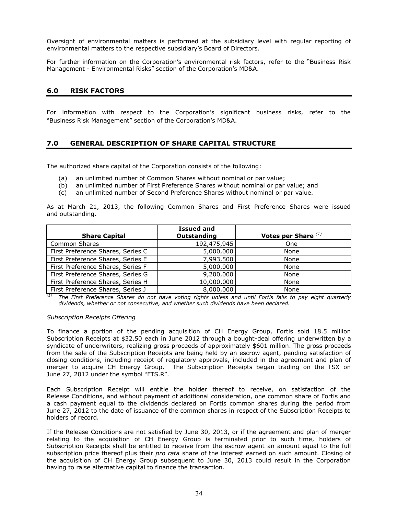Oversight of environmental matters is performed at the subsidiary level with regular reporting of environmental matters to the respective subsidiary's Board of Directors.

For further information on the Corporation's environmental risk factors, refer to the "Business Risk Management - Environmental Risks" section of the Corporation's MD&A.

## **6.0 RISK FACTORS**

For information with respect to the Corporation's significant business risks, refer to the "Business Risk Management" section of the Corporation's MD&A.

## **7.0 GENERAL DESCRIPTION OF SHARE CAPITAL STRUCTURE**

The authorized share capital of the Corporation consists of the following:

- (a) an unlimited number of Common Shares without nominal or par value;
- (b) an unlimited number of First Preference Shares without nominal or par value; and
- (c) an unlimited number of Second Preference Shares without nominal or par value.

As at March 21, 2013, the following Common Shares and First Preference Shares were issued and outstanding.

| <b>Share Capital</b>              | <b>Issued and</b><br>Outstanding | Votes per Share $^{(1)}$ |
|-----------------------------------|----------------------------------|--------------------------|
| <b>Common Shares</b>              | 192,475,945                      | One                      |
| First Preference Shares, Series C | 5,000,000                        | None                     |
| First Preference Shares, Series E | 7,993,500                        | None                     |
| First Preference Shares, Series F | 5,000,000                        | None                     |
| First Preference Shares, Series G | 9,200,000                        | None                     |
| First Preference Shares, Series H | 10,000,000                       | None                     |
| First Preference Shares, Series J | 8,000,000                        | None                     |

*(1) The First Preference Shares do not have voting rights unless and until Fortis fails to pay eight quarterly dividends, whether or not consecutive, and whether such dividends have been declared.*

#### *Subscription Receipts Offering*

To finance a portion of the pending acquisition of CH Energy Group, Fortis sold 18.5 million Subscription Receipts at \$32.50 each in June 2012 through a bought-deal offering underwritten by a syndicate of underwriters, realizing gross proceeds of approximately \$601 million. The gross proceeds from the sale of the Subscription Receipts are being held by an escrow agent, pending satisfaction of closing conditions, including receipt of regulatory approvals, included in the agreement and plan of merger to acquire CH Energy Group. The Subscription Receipts began trading on the TSX on June 27, 2012 under the symbol "FTS.R".

Each Subscription Receipt will entitle the holder thereof to receive, on satisfaction of the Release Conditions, and without payment of additional consideration, one common share of Fortis and a cash payment equal to the dividends declared on Fortis common shares during the period from June 27, 2012 to the date of issuance of the common shares in respect of the Subscription Receipts to holders of record.

If the Release Conditions are not satisfied by June 30, 2013, or if the agreement and plan of merger relating to the acquisition of CH Energy Group is terminated prior to such time, holders of Subscription Receipts shall be entitled to receive from the escrow agent an amount equal to the full subscription price thereof plus their *pro rata* share of the interest earned on such amount. Closing of the acquisition of CH Energy Group subsequent to June 30, 2013 could result in the Corporation having to raise alternative capital to finance the transaction.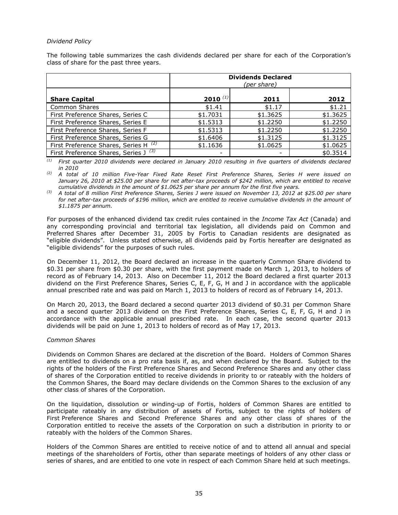## *Dividend Policy*

The following table summarizes the cash dividends declared per share for each of the Corporation's class of share for the past three years.

|                                                  | <b>Dividends Declared</b><br>(per share) |          |          |
|--------------------------------------------------|------------------------------------------|----------|----------|
| <b>Share Capital</b>                             | 2010 $(1)$                               | 2011     | 2012     |
| Common Shares                                    | \$1.41                                   | \$1.17   | \$1.21   |
| First Preference Shares, Series C                | \$1.7031                                 | \$1.3625 | \$1.3625 |
| First Preference Shares, Series E                | \$1.5313                                 | \$1.2250 | \$1.2250 |
| First Preference Shares, Series F                | \$1.5313                                 | \$1.2250 | \$1.2250 |
| First Preference Shares, Series G                | \$1,6406                                 | \$1,3125 | \$1.3125 |
| First Preference Shares, Series H <sup>(2)</sup> | \$1.1636                                 | \$1.0625 | \$1.0625 |
| First Preference Shares, Series J <sup>(3)</sup> |                                          |          | \$0.3514 |

*(1) First quarter 2010 dividends were declared in January 2010 resulting in five quarters of dividends declared in 2010*

*(2) A total of 10 million Five-Year Fixed Rate Reset First Preference Shares, Series H were issued on January 26, 2010 at \$25.00 per share for net after-tax proceeds of \$242 million, which are entitled to receive cumulative dividends in the amount of \$1.0625 per share per annum for the first five years.*

*(3) A total of 8 million First Preference Shares, Series J were issued on November 13, 2012 at \$25.00 per share*  for net after-tax proceeds of \$196 million, which are entitled to receive cumulative dividends in the amount of *\$1.1875 per annum.*

For purposes of the enhanced dividend tax credit rules contained in the *Income Tax Act* (Canada) and any corresponding provincial and territorial tax legislation, all dividends paid on Common and Preferred Shares after December 31, 2005 by Fortis to Canadian residents are designated as "eligible dividends". Unless stated otherwise, all dividends paid by Fortis hereafter are designated as "eligible dividends" for the purposes of such rules.

On December 11, 2012, the Board declared an increase in the quarterly Common Share dividend to \$0.31 per share from \$0.30 per share, with the first payment made on March 1, 2013, to holders of record as of February 14, 2013. Also on December 11, 2012 the Board declared a first quarter 2013 dividend on the First Preference Shares, Series C, E, F, G, H and J in accordance with the applicable annual prescribed rate and was paid on March 1, 2013 to holders of record as of February 14, 2013.

On March 20, 2013, the Board declared a second quarter 2013 dividend of \$0.31 per Common Share and a second quarter 2013 dividend on the First Preference Shares, Series C, E, F, G, H and J in accordance with the applicable annual prescribed rate. In each case, the second quarter 2013 dividends will be paid on June 1, 2013 to holders of record as of May 17, 2013.

### *Common Shares*

Dividends on Common Shares are declared at the discretion of the Board. Holders of Common Shares are entitled to dividends on a pro rata basis if, as, and when declared by the Board. Subject to the rights of the holders of the First Preference Shares and Second Preference Shares and any other class of shares of the Corporation entitled to receive dividends in priority to or rateably with the holders of the Common Shares, the Board may declare dividends on the Common Shares to the exclusion of any other class of shares of the Corporation.

On the liquidation, dissolution or winding-up of Fortis, holders of Common Shares are entitled to participate rateably in any distribution of assets of Fortis, subject to the rights of holders of First Preference Shares and Second Preference Shares and any other class of shares of the Corporation entitled to receive the assets of the Corporation on such a distribution in priority to or rateably with the holders of the Common Shares.

Holders of the Common Shares are entitled to receive notice of and to attend all annual and special meetings of the shareholders of Fortis, other than separate meetings of holders of any other class or series of shares, and are entitled to one vote in respect of each Common Share held at such meetings.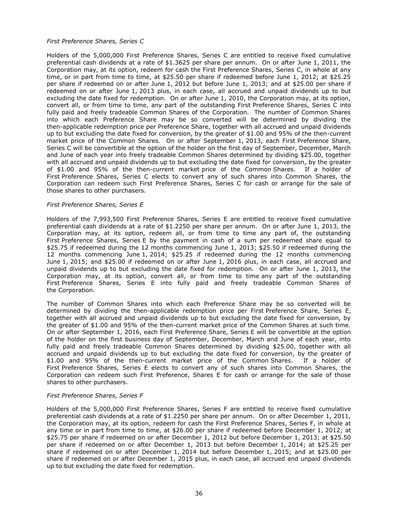#### *First Preference Shares, Series C*

Holders of the 5,000,000 First Preference Shares, Series C are entitled to receive fixed cumulative preferential cash dividends at a rate of \$1.3625 per share per annum. On or after June 1, 2011, the Corporation may, at its option, redeem for cash the First Preference Shares, Series C, in whole at any time, or in part from time to time, at \$25.50 per share if redeemed before June 1, 2012; at \$25.25 per share if redeemed on or after June 1, 2012 but before June 1, 2013; and at \$25.00 per share if redeemed on or after June 1, 2013 plus, in each case, all accrued and unpaid dividends up to but excluding the date fixed for redemption. On or after June 1, 2010, the Corporation may, at its option, convert all, or from time to time, any part of the outstanding First Preference Shares, Series C into fully paid and freely tradeable Common Shares of the Corporation. The number of Common Shares into which each Preference Share may be so converted will be determined by dividing the then-applicable redemption price per Preference Share, together with all accrued and unpaid dividends up to but excluding the date fixed for conversion, by the greater of \$1.00 and 95% of the then-current market price of the Common Shares. On or after September 1, 2013, each First Preference Share, Series C will be convertible at the option of the holder on the first day of September, December, March and June of each year into freely tradeable Common Shares determined by dividing \$25.00, together with all accrued and unpaid dividends up to but excluding the date fixed for conversion, by the greater of \$1.00 and 95% of the then-current market price of the Common Shares. If a holder of First Preference Shares, Series C elects to convert any of such shares into Common Shares, the Corporation can redeem such First Preference Shares, Series C for cash or arrange for the sale of those shares to other purchasers.

#### *First Preference Shares, Series E*

Holders of the 7,993,500 First Preference Shares, Series E are entitled to receive fixed cumulative preferential cash dividends at a rate of \$1.2250 per share per annum. On or after June 1, 2013, the Corporation may, at its option, redeem all, or from time to time any part of, the outstanding First Preference Shares, Series E by the payment in cash of a sum per redeemed share equal to \$25.75 if redeemed during the 12 months commencing June 1, 2013; \$25.50 if redeemed during the 12 months commencing June 1, 2014; \$25.25 if redeemed during the 12 months commencing June 1, 2015; and \$25.00 if redeemed on or after June 1, 2016 plus, in each case, all accrued and unpaid dividends up to but excluding the date fixed for redemption. On or after June 1, 2013, the Corporation may, at its option, convert all, or from time to time any part of the outstanding First Preference Shares, Series E into fully paid and freely tradeable Common Shares of the Corporation.

The number of Common Shares into which each Preference Share may be so converted will be determined by dividing the then-applicable redemption price per First Preference Share, Series E, together with all accrued and unpaid dividends up to but excluding the date fixed for conversion, by the greater of \$1.00 and 95% of the then-current market price of the Common Shares at such time. On or after September 1, 2016, each First Preference Share, Series E will be convertible at the option of the holder on the first business day of September, December, March and June of each year, into fully paid and freely tradeable Common Shares determined by dividing \$25.00, together with all accrued and unpaid dividends up to but excluding the date fixed for conversion, by the greater of \$1.00 and 95% of the then-current market price of the Common Shares. If a holder of First Preference Shares, Series E elects to convert any of such shares into Common Shares, the Corporation can redeem such First Preference, Shares E for cash or arrange for the sale of those shares to other purchasers.

#### *First Preference Shares, Series F*

Holders of the 5,000,000 First Preference Shares, Series F are entitled to receive fixed cumulative preferential cash dividends at a rate of \$1.2250 per share per annum. On or after December 1, 2011, the Corporation may, at its option, redeem for cash the First Preference Shares, Series F, in whole at any time or in part from time to time, at \$26.00 per share if redeemed before December 1, 2012; at \$25.75 per share if redeemed on or after December 1, 2012 but before December 1, 2013; at \$25.50 per share if redeemed on or after December 1, 2013 but before December 1, 2014; at \$25.25 per share if redeemed on or after December 1, 2014 but before December 1, 2015; and at \$25.00 per share if redeemed on or after December 1, 2015 plus, in each case, all accrued and unpaid dividends up to but excluding the date fixed for redemption.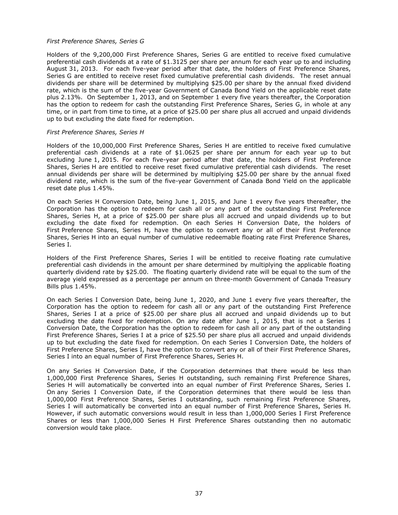#### *First Preference Shares, Series G*

Holders of the 9,200,000 First Preference Shares, Series G are entitled to receive fixed cumulative preferential cash dividends at a rate of \$1.3125 per share per annum for each year up to and including August 31, 2013. For each five-year period after that date, the holders of First Preference Shares, Series G are entitled to receive reset fixed cumulative preferential cash dividends. The reset annual dividends per share will be determined by multiplying \$25.00 per share by the annual fixed dividend rate, which is the sum of the five-year Government of Canada Bond Yield on the applicable reset date plus 2.13%. On September 1, 2013, and on September 1 every five years thereafter, the Corporation has the option to redeem for cash the outstanding First Preference Shares, Series G, in whole at any time, or in part from time to time, at a price of \$25.00 per share plus all accrued and unpaid dividends up to but excluding the date fixed for redemption.

#### *First Preference Shares, Series H*

Holders of the 10,000,000 First Preference Shares, Series H are entitled to receive fixed cumulative preferential cash dividends at a rate of \$1.0625 per share per annum for each year up to but excluding June 1, 2015. For each five-year period after that date, the holders of First Preference Shares, Series H are entitled to receive reset fixed cumulative preferential cash dividends. The reset annual dividends per share will be determined by multiplying \$25.00 per share by the annual fixed dividend rate, which is the sum of the five-year Government of Canada Bond Yield on the applicable reset date plus 1.45%.

On each Series H Conversion Date, being June 1, 2015, and June 1 every five years thereafter, the Corporation has the option to redeem for cash all or any part of the outstanding First Preference Shares, Series H, at a price of \$25.00 per share plus all accrued and unpaid dividends up to but excluding the date fixed for redemption. On each Series H Conversion Date, the holders of First Preference Shares, Series H, have the option to convert any or all of their First Preference Shares, Series H into an equal number of cumulative redeemable floating rate First Preference Shares, Series I.

Holders of the First Preference Shares, Series I will be entitled to receive floating rate cumulative preferential cash dividends in the amount per share determined by multiplying the applicable floating quarterly dividend rate by \$25.00. The floating quarterly dividend rate will be equal to the sum of the average yield expressed as a percentage per annum on three-month Government of Canada Treasury Bills plus 1.45%.

On each Series I Conversion Date, being June 1, 2020, and June 1 every five years thereafter, the Corporation has the option to redeem for cash all or any part of the outstanding First Preference Shares, Series I at a price of \$25.00 per share plus all accrued and unpaid dividends up to but excluding the date fixed for redemption. On any date after June 1, 2015, that is not a Series I Conversion Date, the Corporation has the option to redeem for cash all or any part of the outstanding First Preference Shares, Series I at a price of \$25.50 per share plus all accrued and unpaid dividends up to but excluding the date fixed for redemption. On each Series I Conversion Date, the holders of First Preference Shares, Series I, have the option to convert any or all of their First Preference Shares, Series I into an equal number of First Preference Shares, Series H.

On any Series H Conversion Date, if the Corporation determines that there would be less than 1,000,000 First Preference Shares, Series H outstanding, such remaining First Preference Shares, Series H will automatically be converted into an equal number of First Preference Shares, Series I. On any Series I Conversion Date, if the Corporation determines that there would be less than 1,000,000 First Preference Shares, Series I outstanding, such remaining First Preference Shares, Series I will automatically be converted into an equal number of First Preference Shares, Series H. However, if such automatic conversions would result in less than 1,000,000 Series I First Preference Shares or less than 1,000,000 Series H First Preference Shares outstanding then no automatic conversion would take place.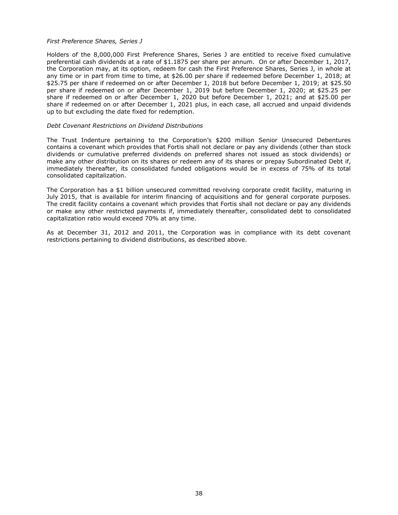#### *First Preference Shares, Series J*

Holders of the 8,000,000 First Preference Shares, Series J are entitled to receive fixed cumulative preferential cash dividends at a rate of \$1.1875 per share per annum. On or after December 1, 2017, the Corporation may, at its option, redeem for cash the First Preference Shares, Series J, in whole at any time or in part from time to time, at \$26.00 per share if redeemed before December 1, 2018; at \$25.75 per share if redeemed on or after December 1, 2018 but before December 1, 2019; at \$25.50 per share if redeemed on or after December 1, 2019 but before December 1, 2020; at \$25.25 per share if redeemed on or after December 1, 2020 but before December 1, 2021; and at \$25.00 per share if redeemed on or after December 1, 2021 plus, in each case, all accrued and unpaid dividends up to but excluding the date fixed for redemption.

### *Debt Covenant Restrictions on Dividend Distributions*

The Trust Indenture pertaining to the Corporation's \$200 million Senior Unsecured Debentures contains a covenant which provides that Fortis shall not declare or pay any dividends (other than stock dividends or cumulative preferred dividends on preferred shares not issued as stock dividends) or make any other distribution on its shares or redeem any of its shares or prepay Subordinated Debt if, immediately thereafter, its consolidated funded obligations would be in excess of 75% of its total consolidated capitalization.

The Corporation has a \$1 billion unsecured committed revolving corporate credit facility, maturing in July 2015, that is available for interim financing of acquisitions and for general corporate purposes. The credit facility contains a covenant which provides that Fortis shall not declare or pay any dividends or make any other restricted payments if, immediately thereafter, consolidated debt to consolidated capitalization ratio would exceed 70% at any time.

As at December 31, 2012 and 2011, the Corporation was in compliance with its debt covenant restrictions pertaining to dividend distributions, as described above.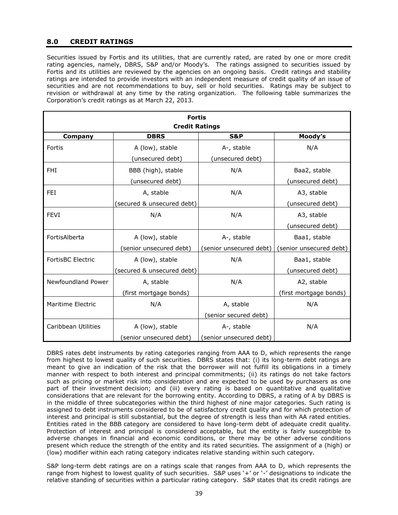## **8.0 CREDIT RATINGS**

Securities issued by Fortis and its utilities, that are currently rated, are rated by one or more credit rating agencies, namely, DBRS, S&P and/or Moody's. The ratings assigned to securities issued by Fortis and its utilities are reviewed by the agencies on an ongoing basis. Credit ratings and stability ratings are intended to provide investors with an independent measure of credit quality of an issue of securities and are not recommendations to buy, sell or hold securities. Ratings may be subject to revision or withdrawal at any time by the rating organization. The following table summarizes the Corporation's credit ratings as at March 22, 2013.

| <b>Fortis</b><br><b>Credit Ratings</b> |                            |                         |                         |  |
|----------------------------------------|----------------------------|-------------------------|-------------------------|--|
| Company                                | <b>DBRS</b>                | <b>S&amp;P</b>          | Moody's                 |  |
| Fortis                                 | A (low), stable            | A-, stable              | N/A                     |  |
|                                        | (unsecured debt)           | (unsecured debt)        |                         |  |
| <b>FHI</b>                             | BBB (high), stable         | N/A                     | Baa2, stable            |  |
|                                        | (unsecured debt)           |                         | (unsecured debt)        |  |
| <b>FEI</b>                             | A, stable                  | N/A                     | A3, stable              |  |
|                                        | (secured & unsecured debt) |                         | (unsecured debt)        |  |
| <b>FEVI</b>                            | N/A                        | N/A                     | A3, stable              |  |
|                                        |                            |                         | (unsecured debt)        |  |
| FortisAlberta                          | A (low), stable            | A-, stable              | Baa1, stable            |  |
|                                        | (senior unsecured debt)    | (senior unsecured debt) | (senior unsecured debt) |  |
| <b>FortisBC Electric</b>               | A (low), stable            | N/A                     | Baa1, stable            |  |
|                                        | (secured & unsecured debt) |                         | (unsecured debt)        |  |
| Newfoundland Power                     | A, stable                  | N/A                     | A2, stable              |  |
|                                        | (first mortgage bonds)     |                         | (first mortgage bonds)  |  |
| <b>Maritime Electric</b>               | N/A                        | A, stable               | N/A                     |  |
|                                        |                            | (senior secured debt)   |                         |  |
| Caribbean Utilities                    | A (low), stable            | A-, stable              | N/A                     |  |
|                                        | (senior unsecured debt)    | (senior unsecured debt) |                         |  |

DBRS rates debt instruments by rating categories ranging from AAA to D, which represents the range from highest to lowest quality of such securities. DBRS states that: (i) its long-term debt ratings are meant to give an indication of the risk that the borrower will not fulfill its obligations in a timely manner with respect to both interest and principal commitments; (ii) its ratings do not take factors such as pricing or market risk into consideration and are expected to be used by purchasers as one part of their investment decision; and (iii) every rating is based on quantitative and qualitative considerations that are relevant for the borrowing entity. According to DBRS, a rating of A by DBRS is in the middle of three subcategories within the third highest of nine major categories. Such rating is assigned to debt instruments considered to be of satisfactory credit quality and for which protection of interest and principal is still substantial, but the degree of strength is less than with AA rated entities. Entities rated in the BBB category are considered to have long-term debt of adequate credit quality. Protection of interest and principal is considered acceptable, but the entity is fairly susceptible to adverse changes in financial and economic conditions, or there may be other adverse conditions present which reduce the strength of the entity and its rated securities. The assignment of a (high) or (low) modifier within each rating category indicates relative standing within such category.

S&P long-term debt ratings are on a ratings scale that ranges from AAA to D, which represents the range from highest to lowest quality of such securities. S&P uses '+' or '-' designations to indicate the relative standing of securities within a particular rating category. S&P states that its credit ratings are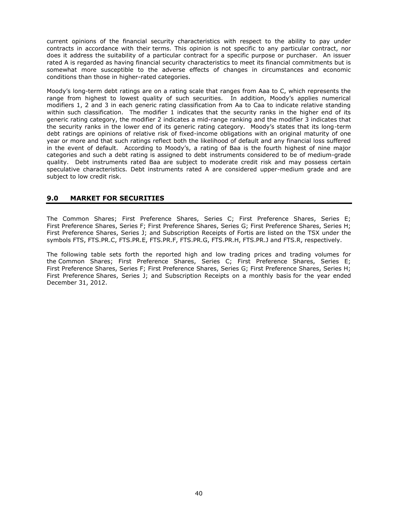current opinions of the financial security characteristics with respect to the ability to pay under contracts in accordance with their terms. This opinion is not specific to any particular contract, nor does it address the suitability of a particular contract for a specific purpose or purchaser. An issuer rated A is regarded as having financial security characteristics to meet its financial commitments but is somewhat more susceptible to the adverse effects of changes in circumstances and economic conditions than those in higher-rated categories.

Moody's long-term debt ratings are on a rating scale that ranges from Aaa to C, which represents the range from highest to lowest quality of such securities. In addition, Moody's applies numerical modifiers 1, 2 and 3 in each generic rating classification from Aa to Caa to indicate relative standing within such classification. The modifier 1 indicates that the security ranks in the higher end of its generic rating category, the modifier 2 indicates a mid-range ranking and the modifier 3 indicates that the security ranks in the lower end of its generic rating category. Moody's states that its long-term debt ratings are opinions of relative risk of fixed-income obligations with an original maturity of one year or more and that such ratings reflect both the likelihood of default and any financial loss suffered in the event of default. According to Moody's, a rating of Baa is the fourth highest of nine major categories and such a debt rating is assigned to debt instruments considered to be of medium-grade quality. Debt instruments rated Baa are subject to moderate credit risk and may possess certain speculative characteristics. Debt instruments rated A are considered upper-medium grade and are subject to low credit risk.

## **9.0 MARKET FOR SECURITIES**

The Common Shares; First Preference Shares, Series C; First Preference Shares, Series E; First Preference Shares, Series F; First Preference Shares, Series G; First Preference Shares, Series H; First Preference Shares, Series J; and Subscription Receipts of Fortis are listed on the TSX under the symbols FTS, FTS.PR.C, FTS.PR.E, FTS.PR.F, FTS.PR.G, FTS.PR.H, FTS.PR.J and FTS.R, respectively.

The following table sets forth the reported high and low trading prices and trading volumes for the Common Shares; First Preference Shares, Series C; First Preference Shares, Series E; First Preference Shares, Series F; First Preference Shares, Series G; First Preference Shares, Series H; First Preference Shares, Series J; and Subscription Receipts on a monthly basis for the year ended December 31, 2012.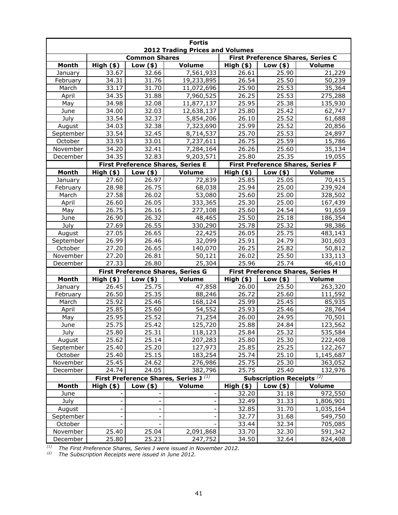| <b>Fortis</b><br><b>2012 Trading Prices and Volumes</b> |                              |                      |                                                                                 |             |                              |                                          |
|---------------------------------------------------------|------------------------------|----------------------|---------------------------------------------------------------------------------|-------------|------------------------------|------------------------------------------|
|                                                         |                              | <b>Common Shares</b> |                                                                                 |             |                              | First Preference Shares, Series C        |
| Month                                                   | High (\$)                    | Low $(*)$            | Volume                                                                          | $High($ \$) | Low $(*)$                    | Volume                                   |
| January                                                 | 33.67                        | 32.66                | 7,561,933                                                                       | 26.61       | 25.90                        | 21,229                                   |
| February                                                | 34.31                        | 31.76                | 19,233,895                                                                      | 26.54       | 25.50                        | 50,239                                   |
| March                                                   | 33.17                        | 31.70                | 11,072,696                                                                      | 25.90       | 25.53                        | 35,364                                   |
| April                                                   | 34.35                        | 31.88                | 7,960,525                                                                       | 26.25       | 25.53                        | 275,288                                  |
| May                                                     | 34.98                        | 32.08                | 11,877,137                                                                      | 25.95       | 25.38                        | 135,930                                  |
| June                                                    | 34.00                        | 32.03                | 12,638,137                                                                      | 25.80       | 25.42                        | 62,747                                   |
| July                                                    | 33.54                        | 32.37                | 5,854,206                                                                       | 26.10       | 25.52                        | 61,688                                   |
| August                                                  | 34.03                        | 32.38                | 7,323,690                                                                       | 25.99       | 25.52                        | 20,856                                   |
| September                                               | 33.54                        | 32.45                | 8,714,537                                                                       | 25.70       | 25.53                        | 24,897                                   |
| October                                                 | 33.93                        | 33.01                | 7,237,611                                                                       | 26.75       | 25.59                        | 15,786                                   |
| November                                                | 34.20                        | 32.41                | 7,284,164                                                                       | 26.26       | 25.60                        | 35,134                                   |
| December                                                | 34.35                        | 32.83                | 9,203,571                                                                       | 25.80       | 25.35                        | 19,055                                   |
|                                                         |                              |                      | <b>First Preference Shares, Series E</b>                                        |             |                              | <b>First Preference Shares, Series F</b> |
| Month                                                   | High (\$)                    | Low $(*)$            | <b>Volume</b>                                                                   | High (\$)   | Low $(*)$                    | <b>Volume</b>                            |
| January                                                 | 27.60                        | 26.97                | 72,839                                                                          | 25.85       | 25.05                        | 70,415                                   |
| February                                                | 28.98                        | 26.75                | 68,038                                                                          | 25.94       | 25.00                        | 239,924                                  |
| March                                                   | 27.58                        | 26.02                | 53,080                                                                          | 25.60       | 25.00                        | 328,502                                  |
| April                                                   | 26.60                        | 26.05                | 333,365                                                                         | 25.30       | 25.00                        | 167,439                                  |
| May                                                     | 26.75                        | 26.16                | 277,108                                                                         | 25.60       | 24.54                        | 91,659                                   |
| June                                                    | 26.90                        | 26.32                | 48,465                                                                          | 25.50       | 25.18                        | 186,354                                  |
| July                                                    | 27.69                        | 26.55                | 330,290                                                                         | 25.78       | 25.32                        | 98,386                                   |
| August                                                  | 27.05                        | 26.65                | 22,425                                                                          | 26.05       | 25.75                        | 483,143                                  |
| September                                               | 26.99                        | 26.46                | 32,099                                                                          | 25.91       | 24.79                        | 301,603                                  |
| October                                                 | 27.20                        | 26.65                | 140,070                                                                         | 26.25       | 25.82                        | 50,812                                   |
| November                                                | 27.20                        | 26.81                | 50,121                                                                          | 26.02       | 25.50                        | 133,113                                  |
| December                                                | 27.33                        | 26.80                | 25,304                                                                          | 25.96       | 25.74                        | 46,410                                   |
|                                                         |                              |                      | <b>First Preference Shares, Series G</b>                                        |             |                              | <b>First Preference Shares, Series H</b> |
| Month                                                   | High (\$)                    | Low $(*)$            | <b>Volume</b>                                                                   | High (\$)   | Low $(*)$                    | <b>Volume</b>                            |
| January                                                 | 26.45                        | 25.75                | 47,858                                                                          | 26.00       | 25.50                        | 263,320                                  |
| February                                                | 26.50                        | 25.35                | 88,246                                                                          | 26.72       | 25.60                        | 111,592                                  |
| March                                                   | 25.92                        | 25.46                | 168,124                                                                         | 25.99       | 25.45                        | 85,935                                   |
| April                                                   | 25.85                        | 25.60                | 54,552                                                                          | 25.93       | 25.46                        | 28,764                                   |
| May                                                     | 25.95                        | 25.52                | 71,254                                                                          | 26.00       | 24.95                        | 70,501                                   |
| June                                                    | 25.75                        | 25.42                | 125,720                                                                         | 25.88       | 24.84                        | 123,562                                  |
| July                                                    | 25.80                        | 25.31                | 118,123                                                                         | 25.84       | 25.32                        | 535,584                                  |
| August                                                  | 25.62                        | 25.14                | 207,283                                                                         | 25.80       | 25.30                        | 222,408                                  |
| September                                               | 25.40                        | 25.20                | 127,973                                                                         | 25.85       | 25.25                        | 122,267                                  |
| October                                                 | 25.40                        | 25.15                | 183,254                                                                         | 25.74       | 25.10                        | 1,145,687                                |
| November                                                | 25.45                        | 24.62                | 276,986                                                                         | 25.75       | 25.30                        | 363,052                                  |
| December                                                | 24.74                        | 24.05                | 382,796                                                                         | 25.75       | 25.40                        | 132,976                                  |
|                                                         |                              |                      | <b>First Preference Shares, Series <math>\overline{\mathbf{J}^{(1)}}</math></b> |             | <b>Subscription Receipts</b> | (2)                                      |
| Month                                                   | $High($ \$)                  | Low $($ \$ $)$       | <b>Volume</b>                                                                   | High (\$)   | Low $(*)$                    | <b>Volume</b>                            |
| June                                                    | $\overline{\phantom{a}}$     |                      | $\qquad \qquad -$                                                               | 32.20       | 31.18                        | 972,550                                  |
| July                                                    | $\overline{\phantom{0}}$     |                      |                                                                                 | 32.49       | 31.33                        | 1,806,901                                |
| August                                                  | $\qquad \qquad \blacksquare$ |                      | $\overline{\phantom{a}}$                                                        | 32.85       | 31.70                        | 1,035,164                                |
| September                                               | $\qquad \qquad \blacksquare$ |                      |                                                                                 | 32.77       | 31.68                        | 549,750                                  |
| October                                                 | $\qquad \qquad \blacksquare$ |                      |                                                                                 | 33.44       | 32.34                        | 705,085                                  |
| November                                                | 25.40                        | 25.04                | 2,091,868                                                                       | 33.70       | 32.30                        | 591,342                                  |
| December                                                | 25.80                        | 25.23                | 247,752                                                                         | 34.50       | 32.64                        | 824,408                                  |

*(1) The First Preference Shares, Series J were issued in November 2012.*

*(2) The Subscription Receipts were issued in June 2012.*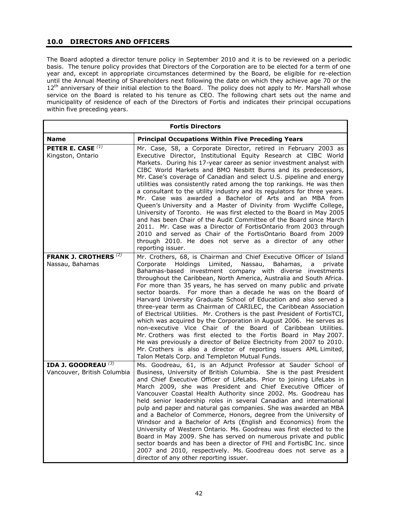## **10.0 DIRECTORS AND OFFICERS**

r

The Board adopted a director tenure policy in September 2010 and it is to be reviewed on a periodic basis. The tenure policy provides that Directors of the Corporation are to be elected for a term of one year and, except in appropriate circumstances determined by the Board, be eligible for re-election until the Annual Meeting of Shareholders next following the date on which they achieve age 70 or the 12<sup>th</sup> anniversary of their initial election to the Board. The policy does not apply to Mr. Marshall whose service on the Board is related to his tenure as CEO. The following chart sets out the name and municipality of residence of each of the Directors of Fortis and indicates their principal occupations within five preceding years.

 $\blacksquare$ 

| <b>Fortis Directors</b>                                       |                                                                                                                                                                                                                                                                                                                                                                                                                                                                                                                                                                                                                                                                                                                                                                                                                                                                                                                                                                                                                                                     |  |  |
|---------------------------------------------------------------|-----------------------------------------------------------------------------------------------------------------------------------------------------------------------------------------------------------------------------------------------------------------------------------------------------------------------------------------------------------------------------------------------------------------------------------------------------------------------------------------------------------------------------------------------------------------------------------------------------------------------------------------------------------------------------------------------------------------------------------------------------------------------------------------------------------------------------------------------------------------------------------------------------------------------------------------------------------------------------------------------------------------------------------------------------|--|--|
| <b>Name</b>                                                   | <b>Principal Occupations Within Five Preceding Years</b>                                                                                                                                                                                                                                                                                                                                                                                                                                                                                                                                                                                                                                                                                                                                                                                                                                                                                                                                                                                            |  |  |
| PETER E. CASE $^{(1)}$<br>Kingston, Ontario                   | Mr. Case, 58, a Corporate Director, retired in February 2003 as<br>Executive Director, Institutional Equity Research at CIBC World<br>Markets. During his 17-year career as senior investment analyst with<br>CIBC World Markets and BMO Nesbitt Burns and its predecessors,<br>Mr. Case's coverage of Canadian and select U.S. pipeline and energy<br>utilities was consistently rated among the top rankings. He was then<br>a consultant to the utility industry and its regulators for three years.<br>Mr. Case was awarded a Bachelor of Arts and an MBA from<br>Queen's University and a Master of Divinity from Wycliffe College,<br>University of Toronto. He was first elected to the Board in May 2005<br>and has been Chair of the Audit Committee of the Board since March<br>2011. Mr. Case was a Director of FortisOntario from 2003 through<br>2010 and served as Chair of the FortisOntario Board from 2009<br>through 2010. He does not serve as a director of any other<br>reporting issuer.                                      |  |  |
| <b>FRANK J. CROTHERS (2)</b><br>Nassau, Bahamas               | Mr. Crothers, 68, is Chairman and Chief Executive Officer of Island<br>Corporate Holdings Limited,<br>Nassau,<br>Bahamas,<br>a<br>private<br>Bahamas-based investment company with diverse investments<br>throughout the Caribbean, North America, Australia and South Africa.<br>For more than 35 years, he has served on many public and private<br>sector boards. For more than a decade he was on the Board of<br>Harvard University Graduate School of Education and also served a<br>three-year term as Chairman of CARILEC, the Caribbean Association<br>of Electrical Utilities. Mr. Crothers is the past President of FortisTCI,<br>which was acquired by the Corporation in August 2006. He serves as<br>non-executive Vice Chair of the Board of Caribbean Utilities.<br>Mr. Crothers was first elected to the Fortis Board in May 2007.<br>He was previously a director of Belize Electricity from 2007 to 2010.<br>Mr. Crothers is also a director of reporting issuers AML Limited,<br>Talon Metals Corp. and Templeton Mutual Funds. |  |  |
| IDA J. GOODREAU <sup>(3)</sup><br>Vancouver, British Columbia | Ms. Goodreau, 61, is an Adjunct Professor at Sauder School of<br>Business, University of British Columbia. She is the past President<br>and Chief Executive Officer of LifeLabs. Prior to joining LifeLabs in<br>March 2009, she was President and Chief Executive Officer of<br>Vancouver Coastal Health Authority since 2002. Ms. Goodreau has<br>held senior leadership roles in several Canadian and international<br>pulp and paper and natural gas companies. She was awarded an MBA<br>and a Bachelor of Commerce, Honors, degree from the University of<br>Windsor and a Bachelor of Arts (English and Economics) from the<br>University of Western Ontario. Ms. Goodreau was first elected to the<br>Board in May 2009. She has served on numerous private and public<br>sector boards and has been a director of FHI and FortisBC Inc. since<br>2007 and 2010, respectively. Ms. Goodreau does not serve as a<br>director of any other reporting issuer.                                                                                  |  |  |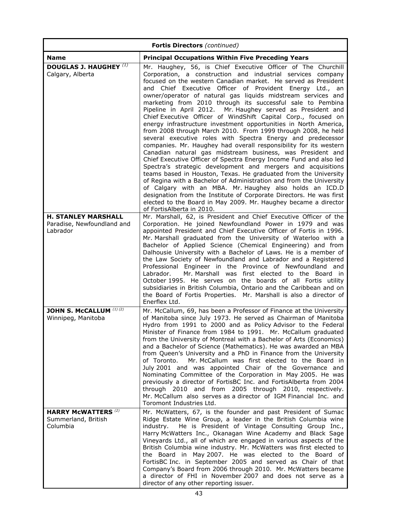| <b>Fortis Directors</b> (continued)                                  |                                                                                                                                                                                                                                                                                                                                                                                                                                                                                                                                                                                                                                                                                                                                                                                                                                                                                                                                                                                                                                                                                                                                                                                                                                                                                                                                                                                   |  |  |
|----------------------------------------------------------------------|-----------------------------------------------------------------------------------------------------------------------------------------------------------------------------------------------------------------------------------------------------------------------------------------------------------------------------------------------------------------------------------------------------------------------------------------------------------------------------------------------------------------------------------------------------------------------------------------------------------------------------------------------------------------------------------------------------------------------------------------------------------------------------------------------------------------------------------------------------------------------------------------------------------------------------------------------------------------------------------------------------------------------------------------------------------------------------------------------------------------------------------------------------------------------------------------------------------------------------------------------------------------------------------------------------------------------------------------------------------------------------------|--|--|
| <b>Name</b>                                                          | <b>Principal Occupations Within Five Preceding Years</b>                                                                                                                                                                                                                                                                                                                                                                                                                                                                                                                                                                                                                                                                                                                                                                                                                                                                                                                                                                                                                                                                                                                                                                                                                                                                                                                          |  |  |
| <b>DOUGLAS J. HAUGHEY (1)</b><br>Calgary, Alberta                    | Mr. Haughey, 56, is Chief Executive Officer of The Churchill<br>Corporation, a construction and industrial services company<br>focused on the western Canadian market. He served as President<br>and Chief Executive Officer of Provident Energy Ltd., an<br>owner/operator of natural gas liquids midstream services and<br>marketing from 2010 through its successful sale to Pembina<br>Pipeline in April 2012. Mr. Haughey served as President and<br>Chief Executive Officer of WindShift Capital Corp., focused on<br>energy infrastructure investment opportunities in North America,<br>from 2008 through March 2010. From 1999 through 2008, he held<br>several executive roles with Spectra Energy and predecessor<br>companies. Mr. Haughey had overall responsibility for its western<br>Canadian natural gas midstream business, was President and<br>Chief Executive Officer of Spectra Energy Income Fund and also led<br>Spectra's strategic development and mergers and acquisitions<br>teams based in Houston, Texas. He graduated from the University<br>of Regina with a Bachelor of Administration and from the University<br>of Calgary with an MBA. Mr. Haughey also holds an ICD.D<br>designation from the Institute of Corporate Directors. He was first<br>elected to the Board in May 2009. Mr. Haughey became a director<br>of FortisAlberta in 2010. |  |  |
| <b>H. STANLEY MARSHALL</b><br>Paradise, Newfoundland and<br>Labrador | Mr. Marshall, 62, is President and Chief Executive Officer of the<br>Corporation. He joined Newfoundland Power in 1979 and was<br>appointed President and Chief Executive Officer of Fortis in 1996.<br>Mr. Marshall graduated from the University of Waterloo with a<br>Bachelor of Applied Science (Chemical Engineering) and from<br>Dalhousie University with a Bachelor of Laws. He is a member of<br>the Law Society of Newfoundland and Labrador and a Registered<br>Professional Engineer in the Province of Newfoundland and<br>Mr. Marshall was first elected to the Board in<br>Labrador.<br>October 1995. He serves on the boards of all Fortis utility<br>subsidiaries in British Columbia, Ontario and the Caribbean and on<br>the Board of Fortis Properties. Mr. Marshall is also a director of<br>Enerflex Ltd.                                                                                                                                                                                                                                                                                                                                                                                                                                                                                                                                                  |  |  |
| JOHN S. McCALLUM (1) (2)<br>Winnipeg, Manitoba                       | Mr. McCallum, 69, has been a Professor of Finance at the University<br>of Manitoba since July 1973. He served as Chairman of Manitoba<br>Hydro from 1991 to 2000 and as Policy Advisor to the Federal<br>Minister of Finance from 1984 to 1991. Mr. McCallum graduated<br>from the University of Montreal with a Bachelor of Arts (Economics)<br>and a Bachelor of Science (Mathematics). He was awarded an MBA<br>from Queen's University and a PhD in Finance from the University<br>of Toronto.<br>Mr. McCallum was first elected to the Board in<br>July 2001 and was appointed Chair of the Governance and<br>Nominating Committee of the Corporation in May 2005. He was<br>previously a director of FortisBC Inc. and FortisAlberta from 2004<br>through 2010 and from 2005 through 2010, respectively.<br>Mr. McCallum also serves as a director of IGM Financial Inc. and<br>Toromont Industries Ltd.                                                                                                                                                                                                                                                                                                                                                                                                                                                                    |  |  |
| <b>HARRY MCWATTERS (2)</b><br>Summerland, British<br>Columbia        | Mr. McWatters, 67, is the founder and past President of Sumac<br>Ridge Estate Wine Group, a leader in the British Columbia wine<br>He is President of Vintage Consulting Group Inc.,<br>industry.<br>Harry McWatters Inc., Okanagan Wine Academy and Black Sage<br>Vineyards Ltd., all of which are engaged in various aspects of the<br>British Columbia wine industry. Mr. McWatters was first elected to<br>the Board in May 2007. He was elected to the Board of<br>FortisBC Inc. in September 2005 and served as Chair of that<br>Company's Board from 2006 through 2010. Mr. McWatters became<br>a director of FHI in November 2007 and does not serve as a<br>director of any other reporting issuer.                                                                                                                                                                                                                                                                                                                                                                                                                                                                                                                                                                                                                                                                      |  |  |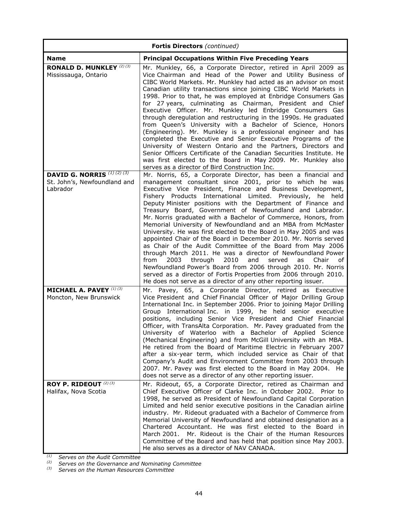|                                                                                  | Fortis Directors (continued)                                                                                                                                                                                                                                                                                                                                                                                                                                                                                                                                                                                                                                                                                                                                                                                                                                                                                                                                                                                                                                                 |  |  |
|----------------------------------------------------------------------------------|------------------------------------------------------------------------------------------------------------------------------------------------------------------------------------------------------------------------------------------------------------------------------------------------------------------------------------------------------------------------------------------------------------------------------------------------------------------------------------------------------------------------------------------------------------------------------------------------------------------------------------------------------------------------------------------------------------------------------------------------------------------------------------------------------------------------------------------------------------------------------------------------------------------------------------------------------------------------------------------------------------------------------------------------------------------------------|--|--|
| Name                                                                             | <b>Principal Occupations Within Five Preceding Years</b>                                                                                                                                                                                                                                                                                                                                                                                                                                                                                                                                                                                                                                                                                                                                                                                                                                                                                                                                                                                                                     |  |  |
| <b>RONALD D. MUNKLEY (2) (3)</b><br>Mississauga, Ontario                         | Mr. Munkley, 66, a Corporate Director, retired in April 2009 as<br>Vice Chairman and Head of the Power and Utility Business of<br>CIBC World Markets. Mr. Munkley had acted as an advisor on most<br>Canadian utility transactions since joining CIBC World Markets in<br>1998. Prior to that, he was employed at Enbridge Consumers Gas<br>for 27 years, culminating as Chairman, President and Chief<br>Executive Officer. Mr. Munkley led Enbridge Consumers Gas<br>through deregulation and restructuring in the 1990s. He graduated<br>from Queen's University with a Bachelor of Science, Honors<br>(Engineering). Mr. Munkley is a professional engineer and has<br>completed the Executive and Senior Executive Programs of the<br>University of Western Ontario and the Partners, Directors and<br>Senior Officers Certificate of the Canadian Securities Institute. He<br>was first elected to the Board in May 2009. Mr. Munkley also<br>serves as a director of Bird Construction Inc.                                                                           |  |  |
| DAVID G. NORRIS <sup>(1)(2)(3)</sup><br>St. John's, Newfoundland and<br>Labrador | Mr. Norris, 65, a Corporate Director, has been a financial and<br>management consultant since 2001, prior to which he was<br>Executive Vice President, Finance and Business Development,<br>Fishery Products International Limited. Previously, he held<br>Deputy Minister positions with the Department of Finance and<br>Treasury Board, Government of Newfoundland and Labrador.<br>Mr. Norris graduated with a Bachelor of Commerce, Honors, from<br>Memorial University of Newfoundland and an MBA from McMaster<br>University. He was first elected to the Board in May 2005 and was<br>appointed Chair of the Board in December 2010. Mr. Norris served<br>as Chair of the Audit Committee of the Board from May 2006<br>through March 2011. He was a director of Newfoundland Power<br>from<br>2003<br>through<br>2010<br>and<br>served<br>Chair<br>as<br>of<br>Newfoundland Power's Board from 2006 through 2010. Mr. Norris<br>served as a director of Fortis Properties from 2006 through 2010.<br>He does not serve as a director of any other reporting issuer. |  |  |
| <b>MICHAEL A. PAVEY (1) (3)</b><br>Moncton, New Brunswick                        | Mr. Pavey, 65, a Corporate Director, retired as Executive<br>Vice President and Chief Financial Officer of Major Drilling Group<br>International Inc. in September 2006. Prior to joining Major Drilling<br>Group International Inc. in 1999, he held senior executive<br>positions, including Senior Vice President and Chief Financial<br>Officer, with TransAlta Corporation. Mr. Pavey graduated from the<br>University of Waterloo with a Bachelor of Applied Science<br>(Mechanical Engineering) and from McGill University with an MBA.<br>He retired from the Board of Maritime Electric in February 2007<br>after a six-year term, which included service as Chair of that<br>Company's Audit and Environment Committee from 2003 through<br>2007. Mr. Pavey was first elected to the Board in May 2004. He<br>does not serve as a director of any other reporting issuer.                                                                                                                                                                                          |  |  |
| ROY P. RIDEOUT (2) (3)<br>Halifax, Nova Scotia                                   | Mr. Rideout, 65, a Corporate Director, retired as Chairman and<br>Chief Executive Officer of Clarke Inc. in October 2002.<br>Prior to<br>1998, he served as President of Newfoundland Capital Corporation<br>Limited and held senior executive positions in the Canadian airline<br>industry. Mr. Rideout graduated with a Bachelor of Commerce from<br>Memorial University of Newfoundland and obtained designation as a<br>Chartered Accountant. He was first elected to the Board in<br>March 2001. Mr. Rideout is the Chair of the Human Resources<br>Committee of the Board and has held that position since May 2003.<br>He also serves as a director of NAV CANADA.                                                                                                                                                                                                                                                                                                                                                                                                   |  |  |

*(1) Serves on the Audit Committee*

*(2) Serves on the Governance and Nominating Committee*

*(3) Serves on the Human Resources Committee*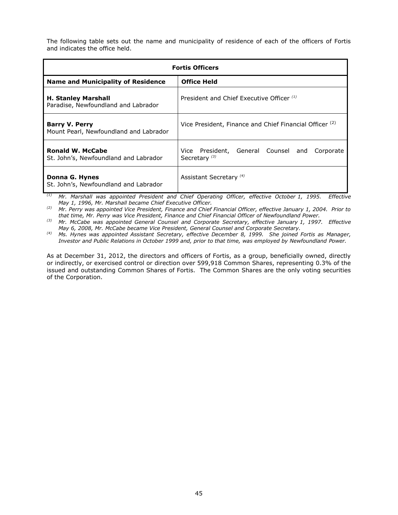The following table sets out the name and municipality of residence of each of the officers of Fortis and indicates the office held.

| <b>Fortis Officers</b>                                            |                                                                        |  |  |
|-------------------------------------------------------------------|------------------------------------------------------------------------|--|--|
| <b>Name and Municipality of Residence</b>                         | <b>Office Held</b>                                                     |  |  |
| <b>H. Stanley Marshall</b><br>Paradise, Newfoundland and Labrador | President and Chief Executive Officer (1)                              |  |  |
| <b>Barry V. Perry</b><br>Mount Pearl, Newfoundland and Labrador   | Vice President, Finance and Chief Financial Officer <sup>(2)</sup>     |  |  |
| <b>Ronald W. McCabe</b><br>St. John's, Newfoundland and Labrador  | Vice President, General Counsel<br>Corporate<br>and<br>Secretary $(3)$ |  |  |
| Donna G. Hynes<br>St. John's, Newfoundland and Labrador           | Assistant Secretary (4)                                                |  |  |

*(1) Mr. Marshall was appointed President and Chief Operating Officer, effective October 1, 1995. Effective May 1, 1996, Mr. Marshall became Chief Executive Officer.*

*(2) Mr. Perry was appointed Vice President, Finance and Chief Financial Officer, effective January 1, 2004. Prior to that time, Mr. Perry was Vice President, Finance and Chief Financial Officer of Newfoundland Power.*

*(3) Mr. McCabe was appointed General Counsel and Corporate Secretary, effective January 1, 1997. Effective May 6, 2008, Mr. McCabe became Vice President, General Counsel and Corporate Secretary.*

*(4) Ms. Hynes was appointed Assistant Secretary, effective December 8, 1999. She joined Fortis as Manager, Investor and Public Relations in October 1999 and, prior to that time, was employed by Newfoundland Power.*

As at December 31, 2012, the directors and officers of Fortis, as a group, beneficially owned, directly or indirectly, or exercised control or direction over 599,918 Common Shares, representing 0.3% of the issued and outstanding Common Shares of Fortis. The Common Shares are the only voting securities of the Corporation.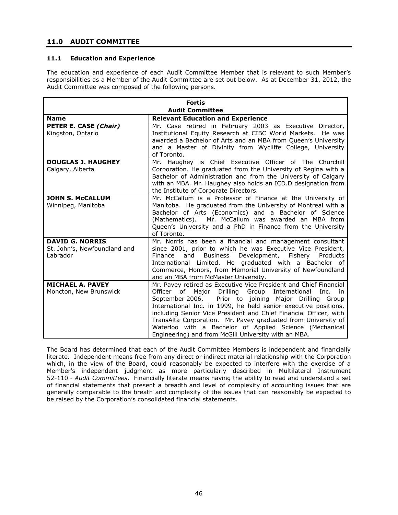## **11.0 AUDIT COMMITTEE**

## **11.1 Education and Experience**

The education and experience of each Audit Committee Member that is relevant to such Member's responsibilities as a Member of the Audit Committee are set out below. As at December 31, 2012, the Audit Committee was composed of the following persons.

| <b>Fortis</b>                |                                                                                                                         |  |
|------------------------------|-------------------------------------------------------------------------------------------------------------------------|--|
| <b>Audit Committee</b>       |                                                                                                                         |  |
| <b>Name</b>                  | <b>Relevant Education and Experience</b>                                                                                |  |
| PETER E. CASE (Chair)        | Mr. Case retired in February 2003 as Executive Director,                                                                |  |
| Kingston, Ontario            | Institutional Equity Research at CIBC World Markets. He was                                                             |  |
|                              | awarded a Bachelor of Arts and an MBA from Queen's University                                                           |  |
|                              | and a Master of Divinity from Wycliffe College, University                                                              |  |
|                              | of Toronto.                                                                                                             |  |
| <b>DOUGLAS J. HAUGHEY</b>    | Mr. Haughey is Chief Executive Officer of The Churchill                                                                 |  |
| Calgary, Alberta             | Corporation. He graduated from the University of Regina with a                                                          |  |
|                              | Bachelor of Administration and from the University of Calgary                                                           |  |
|                              | with an MBA. Mr. Haughey also holds an ICD.D designation from                                                           |  |
| <b>JOHN S. MCCALLUM</b>      | the Institute of Corporate Directors.                                                                                   |  |
|                              | Mr. McCallum is a Professor of Finance at the University of                                                             |  |
| Winnipeg, Manitoba           | Manitoba. He graduated from the University of Montreal with a<br>Bachelor of Arts (Economics) and a Bachelor of Science |  |
|                              | (Mathematics). Mr. McCallum was awarded an MBA from                                                                     |  |
|                              | Queen's University and a PhD in Finance from the University                                                             |  |
|                              | of Toronto.                                                                                                             |  |
| <b>DAVID G. NORRIS</b>       | Mr. Norris has been a financial and management consultant                                                               |  |
| St. John's, Newfoundland and | since 2001, prior to which he was Executive Vice President,                                                             |  |
| Labrador                     | Products<br>and<br><b>Business</b><br>Development, Fishery<br>Finance                                                   |  |
|                              | International Limited. He graduated with a Bachelor of                                                                  |  |
|                              | Commerce, Honors, from Memorial University of Newfoundland                                                              |  |
|                              | and an MBA from McMaster University.                                                                                    |  |
| <b>MICHAEL A. PAVEY</b>      | Mr. Pavey retired as Executive Vice President and Chief Financial                                                       |  |
| Moncton, New Brunswick       | Officer of<br>Major<br>Drilling<br>Group<br>International<br>Inc.<br>in.                                                |  |
|                              | September 2006.<br>Prior to joining Major Drilling<br>Group                                                             |  |
|                              | International Inc. in 1999, he held senior executive positions,                                                         |  |
|                              | including Senior Vice President and Chief Financial Officer, with                                                       |  |
|                              | TransAlta Corporation. Mr. Pavey graduated from University of                                                           |  |
|                              | Waterloo with a Bachelor of Applied Science (Mechanical                                                                 |  |
|                              | Engineering) and from McGill University with an MBA.                                                                    |  |

The Board has determined that each of the Audit Committee Members is independent and financially literate. Independent means free from any direct or indirect material relationship with the Corporation which, in the view of the Board, could reasonably be expected to interfere with the exercise of a Member's independent judgment as more particularly described in Multilateral Instrument 52-110 - *Audit Committees*. Financially literate means having the ability to read and understand a set of financial statements that present a breadth and level of complexity of accounting issues that are generally comparable to the breath and complexity of the issues that can reasonably be expected to be raised by the Corporation's consolidated financial statements.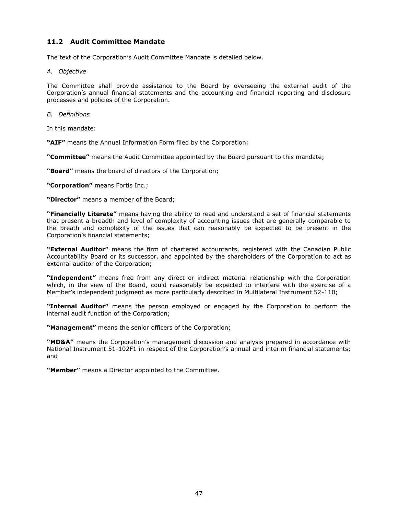## **11.2 Audit Committee Mandate**

The text of the Corporation's Audit Committee Mandate is detailed below.

*A. Objective*

The Committee shall provide assistance to the Board by overseeing the external audit of the Corporation's annual financial statements and the accounting and financial reporting and disclosure processes and policies of the Corporation.

*B. Definitions*

In this mandate:

**"AIF"** means the Annual Information Form filed by the Corporation;

**"Committee"** means the Audit Committee appointed by the Board pursuant to this mandate;

**"Board"** means the board of directors of the Corporation;

**"Corporation"** means Fortis Inc.;

**"Director"** means a member of the Board;

**"Financially Literate"** means having the ability to read and understand a set of financial statements that present a breadth and level of complexity of accounting issues that are generally comparable to the breath and complexity of the issues that can reasonably be expected to be present in the Corporation's financial statements;

**"External Auditor"** means the firm of chartered accountants, registered with the Canadian Public Accountability Board or its successor, and appointed by the shareholders of the Corporation to act as external auditor of the Corporation;

**"Independent"** means free from any direct or indirect material relationship with the Corporation which, in the view of the Board, could reasonably be expected to interfere with the exercise of a Member's independent judgment as more particularly described in Multilateral Instrument 52-110;

**"Internal Auditor"** means the person employed or engaged by the Corporation to perform the internal audit function of the Corporation;

**"Management"** means the senior officers of the Corporation;

**"MD&A"** means the Corporation's management discussion and analysis prepared in accordance with National Instrument 51-102F1 in respect of the Corporation's annual and interim financial statements; and

**"Member"** means a Director appointed to the Committee.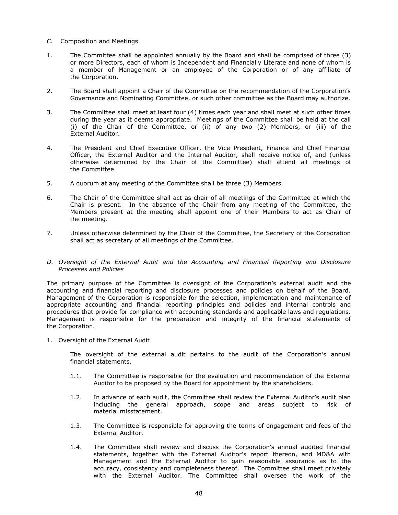- *C.* Composition and Meetings
- 1. The Committee shall be appointed annually by the Board and shall be comprised of three (3) or more Directors, each of whom is Independent and Financially Literate and none of whom is a member of Management or an employee of the Corporation or of any affiliate of the Corporation.
- 2. The Board shall appoint a Chair of the Committee on the recommendation of the Corporation's Governance and Nominating Committee, or such other committee as the Board may authorize.
- 3. The Committee shall meet at least four (4) times each year and shall meet at such other times during the year as it deems appropriate. Meetings of the Committee shall be held at the call (i) of the Chair of the Committee, or (ii) of any two (2) Members, or (iii) of the External Auditor.
- 4. The President and Chief Executive Officer, the Vice President, Finance and Chief Financial Officer, the External Auditor and the Internal Auditor, shall receive notice of, and (unless otherwise determined by the Chair of the Committee) shall attend all meetings of the Committee.
- 5. A quorum at any meeting of the Committee shall be three (3) Members.
- 6. The Chair of the Committee shall act as chair of all meetings of the Committee at which the Chair is present. In the absence of the Chair from any meeting of the Committee, the Members present at the meeting shall appoint one of their Members to act as Chair of the meeting.
- 7. Unless otherwise determined by the Chair of the Committee, the Secretary of the Corporation shall act as secretary of all meetings of the Committee.
- *D. Oversight of the External Audit and the Accounting and Financial Reporting and Disclosure Processes and Policies*

The primary purpose of the Committee is oversight of the Corporation's external audit and the accounting and financial reporting and disclosure processes and policies on behalf of the Board. Management of the Corporation is responsible for the selection, implementation and maintenance of appropriate accounting and financial reporting principles and policies and internal controls and procedures that provide for compliance with accounting standards and applicable laws and regulations. Management is responsible for the preparation and integrity of the financial statements of the Corporation.

1. Oversight of the External Audit

The oversight of the external audit pertains to the audit of the Corporation's annual financial statements.

- 1.1. The Committee is responsible for the evaluation and recommendation of the External Auditor to be proposed by the Board for appointment by the shareholders.
- 1.2. In advance of each audit, the Committee shall review the External Auditor's audit plan including the general approach, scope and areas subject to risk of material misstatement.
- 1.3. The Committee is responsible for approving the terms of engagement and fees of the External Auditor.
- 1.4. The Committee shall review and discuss the Corporation's annual audited financial statements, together with the External Auditor's report thereon, and MD&A with Management and the External Auditor to gain reasonable assurance as to the accuracy, consistency and completeness thereof. The Committee shall meet privately with the External Auditor. The Committee shall oversee the work of the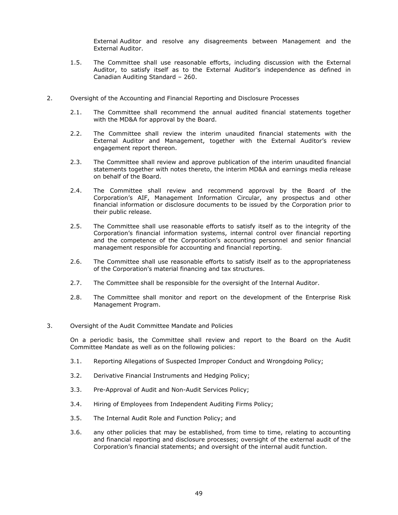External Auditor and resolve any disagreements between Management and the External Auditor.

- 1.5. The Committee shall use reasonable efforts, including discussion with the External Auditor, to satisfy itself as to the External Auditor's independence as defined in Canadian Auditing Standard – 260.
- 2. Oversight of the Accounting and Financial Reporting and Disclosure Processes
	- 2.1. The Committee shall recommend the annual audited financial statements together with the MD&A for approval by the Board.
	- 2.2. The Committee shall review the interim unaudited financial statements with the External Auditor and Management, together with the External Auditor's review engagement report thereon.
	- 2.3. The Committee shall review and approve publication of the interim unaudited financial statements together with notes thereto, the interim MD&A and earnings media release on behalf of the Board.
	- 2.4. The Committee shall review and recommend approval by the Board of the Corporation's AIF, Management Information Circular, any prospectus and other financial information or disclosure documents to be issued by the Corporation prior to their public release.
	- 2.5. The Committee shall use reasonable efforts to satisfy itself as to the integrity of the Corporation's financial information systems, internal control over financial reporting and the competence of the Corporation's accounting personnel and senior financial management responsible for accounting and financial reporting.
	- 2.6. The Committee shall use reasonable efforts to satisfy itself as to the appropriateness of the Corporation's material financing and tax structures.
	- 2.7. The Committee shall be responsible for the oversight of the Internal Auditor.
	- 2.8. The Committee shall monitor and report on the development of the Enterprise Risk Management Program.
- 3. Oversight of the Audit Committee Mandate and Policies

On a periodic basis, the Committee shall review and report to the Board on the Audit Committee Mandate as well as on the following policies:

- 3.1. Reporting Allegations of Suspected Improper Conduct and Wrongdoing Policy;
- 3.2. Derivative Financial Instruments and Hedging Policy;
- 3.3. Pre-Approval of Audit and Non-Audit Services Policy;
- 3.4. Hiring of Employees from Independent Auditing Firms Policy;
- 3.5. The Internal Audit Role and Function Policy; and
- 3.6. any other policies that may be established, from time to time, relating to accounting and financial reporting and disclosure processes; oversight of the external audit of the Corporation's financial statements; and oversight of the internal audit function.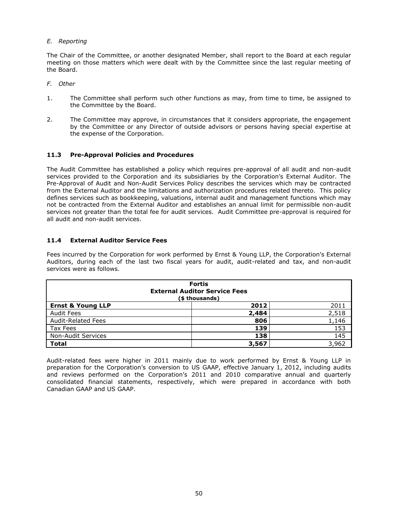## *E. Reporting*

The Chair of the Committee, or another designated Member, shall report to the Board at each regular meeting on those matters which were dealt with by the Committee since the last regular meeting of the Board.

- *F. Other*
- 1. The Committee shall perform such other functions as may, from time to time, be assigned to the Committee by the Board.
- 2. The Committee may approve, in circumstances that it considers appropriate, the engagement by the Committee or any Director of outside advisors or persons having special expertise at the expense of the Corporation.

## **11.3 Pre-Approval Policies and Procedures**

The Audit Committee has established a policy which requires pre-approval of all audit and non-audit services provided to the Corporation and its subsidiaries by the Corporation's External Auditor. The Pre-Approval of Audit and Non-Audit Services Policy describes the services which may be contracted from the External Auditor and the limitations and authorization procedures related thereto. This policy defines services such as bookkeeping, valuations, internal audit and management functions which may not be contracted from the External Auditor and establishes an annual limit for permissible non-audit services not greater than the total fee for audit services. Audit Committee pre-approval is required for all audit and non-audit services.

## **11.4 External Auditor Service Fees**

Fees incurred by the Corporation for work performed by Ernst & Young LLP, the Corporation's External Auditors, during each of the last two fiscal years for audit, audit-related and tax, and non-audit services were as follows.

| <b>Fortis</b><br><b>External Auditor Service Fees</b><br>(\$ thousands) |       |       |  |
|-------------------------------------------------------------------------|-------|-------|--|
| <b>Ernst &amp; Young LLP</b>                                            | 2012  | 2011  |  |
| <b>Audit Fees</b>                                                       | 2,484 | 2,518 |  |
| <b>Audit-Related Fees</b>                                               | 806   | 1,146 |  |
| Tax Fees                                                                | 139   | 153   |  |
| Non-Audit Services                                                      | 138   | 145   |  |
| <b>Total</b>                                                            | 3,567 | 3,962 |  |

Audit-related fees were higher in 2011 mainly due to work performed by Ernst & Young LLP in preparation for the Corporation's conversion to US GAAP, effective January 1, 2012, including audits and reviews performed on the Corporation's 2011 and 2010 comparative annual and quarterly consolidated financial statements, respectively, which were prepared in accordance with both Canadian GAAP and US GAAP.